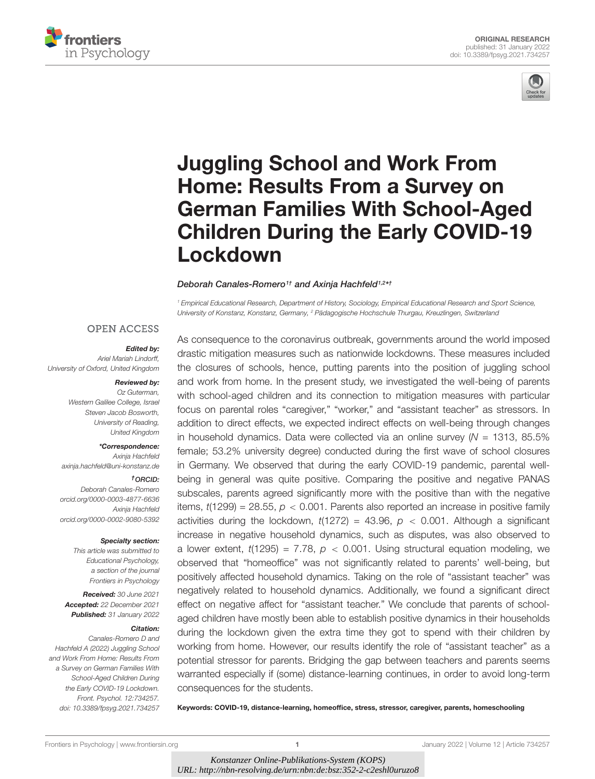



# Juggling School and Work From Home: Results From a Survey on [German Families With School-Aged](https://www.frontiersin.org/articles/10.3389/fpsyg.2021.734257/full) Children During the Early COVID-19 Lockdown

### Deborah Canales-Romero1† and Axinja Hachfeld1,2\*†

<sup>1</sup> Empirical Educational Research, Department of History, Sociology, Empirical Educational Research and Sport Science, University of Konstanz, Konstanz, Germany, <sup>2</sup> Pädagogische Hochschule Thurgau, Kreuzlingen, Switzerland

### **OPEN ACCESS**

### Edited by:

Ariel Mariah Lindorff, University of Oxford, United Kingdom

#### Reviewed by:

Oz Guterman, Western Galilee College, Israel Steven Jacob Bosworth, University of Reading, United Kingdom

### \*Correspondence:

Axinja Hachfeld axinja.hachfeld@uni-konstanz.de

#### †ORCID:

Deborah Canales-Romero [orcid.org/0000-0003-4877-6636](http://orcid.org/0000-0003-4877-6636) Axinja Hachfeld [orcid.org/0000-0002-9080-5392](http://orcid.org/0000-0002-9080-5392)

#### Specialty section:

This article was submitted to Educational Psychology, a section of the journal Frontiers in Psychology

Received: 30 June 2021 Accepted: 22 December 2021 Published: 31 January 2022

#### Citation:

Canales-Romero D and Hachfeld A (2022) Juggling School and Work From Home: Results From a Survey on German Families With School-Aged Children During the Early COVID-19 Lockdown. Front. Psychol. 12:734257. doi: [10.3389/fpsyg.2021.734257](https://doi.org/10.3389/fpsyg.2021.734257)

As consequence to the coronavirus outbreak, governments around the world imposed drastic mitigation measures such as nationwide lockdowns. These measures included the closures of schools, hence, putting parents into the position of juggling school and work from home. In the present study, we investigated the well-being of parents with school-aged children and its connection to mitigation measures with particular focus on parental roles "caregiver," "worker," and "assistant teacher" as stressors. In addition to direct effects, we expected indirect effects on well-being through changes in household dynamics. Data were collected via an online survey ( $N = 1313$ , 85.5% female; 53.2% university degree) conducted during the first wave of school closures in Germany. We observed that during the early COVID-19 pandemic, parental wellbeing in general was quite positive. Comparing the positive and negative PANAS subscales, parents agreed significantly more with the positive than with the negative items,  $t(1299) = 28.55$ ,  $p < 0.001$ . Parents also reported an increase in positive family activities during the lockdown,  $t(1272) = 43.96$ ,  $p < 0.001$ . Although a significant increase in negative household dynamics, such as disputes, was also observed to a lower extent,  $t(1295) = 7.78$ ,  $p < 0.001$ . Using structural equation modeling, we observed that "homeoffice" was not significantly related to parents' well-being, but positively affected household dynamics. Taking on the role of "assistant teacher" was negatively related to household dynamics. Additionally, we found a significant direct effect on negative affect for "assistant teacher." We conclude that parents of schoolaged children have mostly been able to establish positive dynamics in their households during the lockdown given the extra time they got to spend with their children by working from home. However, our results identify the role of "assistant teacher" as a potential stressor for parents. Bridging the gap between teachers and parents seems warranted especially if (some) distance-learning continues, in order to avoid long-term consequences for the students.

Keywords: COVID-19, distance-learning, homeoffice, stress, stressor, caregiver, parents, homeschooling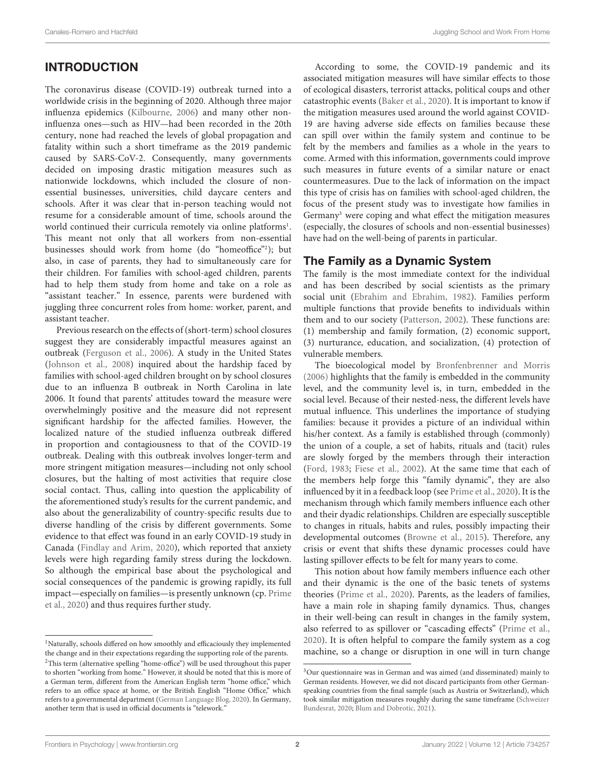# **INTRODUCTION**

The coronavirus disease (COVID-19) outbreak turned into a worldwide crisis in the beginning of 2020. Although three major influenza epidemics [\(Kilbourne,](#page-14-0) [2006\)](#page-14-0) and many other noninfluenza ones—such as HIV—had been recorded in the 20th century, none had reached the levels of global propagation and fatality within such a short timeframe as the 2019 pandemic caused by SARS-CoV-2. Consequently, many governments decided on imposing drastic mitigation measures such as nationwide lockdowns, which included the closure of nonessential businesses, universities, child daycare centers and schools. After it was clear that in-person teaching would not resume for a considerable amount of time, schools around the world continued their curricula remotely via online platforms<sup>[1](#page-1-0)</sup>. This meant not only that all workers from non-essential businesses should work from home (do "homeoffice"[2](#page-1-1) ); but also, in case of parents, they had to simultaneously care for their children. For families with school-aged children, parents had to help them study from home and take on a role as "assistant teacher." In essence, parents were burdened with juggling three concurrent roles from home: worker, parent, and assistant teacher.

Previous research on the effects of (short-term) school closures suggest they are considerably impactful measures against an outbreak [\(Ferguson et al.,](#page-13-0) [2006\)](#page-13-0). A study in the United States [\(Johnson et al.,](#page-14-1) [2008\)](#page-14-1) inquired about the hardship faced by families with school-aged children brought on by school closures due to an influenza B outbreak in North Carolina in late 2006. It found that parents' attitudes toward the measure were overwhelmingly positive and the measure did not represent significant hardship for the affected families. However, the localized nature of the studied influenza outbreak differed in proportion and contagiousness to that of the COVID-19 outbreak. Dealing with this outbreak involves longer-term and more stringent mitigation measures—including not only school closures, but the halting of most activities that require close social contact. Thus, calling into question the applicability of the aforementioned study's results for the current pandemic, and also about the generalizability of country-specific results due to diverse handling of the crisis by different governments. Some evidence to that effect was found in an early COVID-19 study in Canada [\(Findlay and Arim,](#page-14-2) [2020\)](#page-14-2), which reported that anxiety levels were high regarding family stress during the lockdown. So although the empirical base about the psychological and social consequences of the pandemic is growing rapidly, its full impact—especially on families—is presently unknown (cp. [Prime](#page-14-3) [et al.,](#page-14-3) [2020\)](#page-14-3) and thus requires further study.

According to some, the COVID-19 pandemic and its associated mitigation measures will have similar effects to those of ecological disasters, terrorist attacks, political coups and other catastrophic events [\(Baker et al.,](#page-13-1) [2020\)](#page-13-1). It is important to know if the mitigation measures used around the world against COVID-19 are having adverse side effects on families because these can spill over within the family system and continue to be felt by the members and families as a whole in the years to come. Armed with this information, governments could improve such measures in future events of a similar nature or enact countermeasures. Due to the lack of information on the impact this type of crisis has on families with school-aged children, the focus of the present study was to investigate how families in Germany[3](#page-1-2) were coping and what effect the mitigation measures (especially, the closures of schools and non-essential businesses) have had on the well-being of parents in particular.

### The Family as a Dynamic System

The family is the most immediate context for the individual and has been described by social scientists as the primary social unit [\(Ebrahim and Ebrahim,](#page-13-2) [1982\)](#page-13-2). Families perform multiple functions that provide benefits to individuals within them and to our society [\(Patterson,](#page-14-5) [2002\)](#page-14-5). These functions are: (1) membership and family formation, (2) economic support, (3) nurturance, education, and socialization, (4) protection of vulnerable members.

The bioecological model by [Bronfenbrenner and Morris](#page-13-3) [\(2006\)](#page-13-3) highlights that the family is embedded in the community level, and the community level is, in turn, embedded in the social level. Because of their nested-ness, the different levels have mutual influence. This underlines the importance of studying families: because it provides a picture of an individual within his/her context. As a family is established through (commonly) the union of a couple, a set of habits, rituals and (tacit) rules are slowly forged by the members through their interaction [\(Ford,](#page-14-6) [1983;](#page-14-6) [Fiese et al.,](#page-14-7) [2002\)](#page-14-7). At the same time that each of the members help forge this "family dynamic", they are also influenced by it in a feedback loop (see [Prime et al.,](#page-14-3) [2020\)](#page-14-3). It is the mechanism through which family members influence each other and their dyadic relationships. Children are especially susceptible to changes in rituals, habits and rules, possibly impacting their developmental outcomes [\(Browne et al.,](#page-13-4) [2015\)](#page-13-4). Therefore, any crisis or event that shifts these dynamic processes could have lasting spillover effects to be felt for many years to come.

This notion about how family members influence each other and their dynamic is the one of the basic tenets of systems theories [\(Prime et al.,](#page-14-3) [2020\)](#page-14-3). Parents, as the leaders of families, have a main role in shaping family dynamics. Thus, changes in their well-being can result in changes in the family system, also referred to as spillover or "cascading effects" [\(Prime et al.,](#page-14-3) [2020\)](#page-14-3). It is often helpful to compare the family system as a cog machine, so a change or disruption in one will in turn change

<span id="page-1-1"></span><span id="page-1-0"></span><sup>&</sup>lt;sup>1</sup>Naturally, schools differed on how smoothly and efficaciously they implemented the change and in their expectations regarding the supporting role of the parents. <sup>2</sup>This term (alternative spelling "home-office") will be used throughout this paper to shorten "working from home." However, it should be noted that this is more of a German term, different from the American English term "home office," which refers to an office space at home, or the British English "Home Office," which refers to a governmental department [\(German Language Blog,](#page-14-4) [2020\)](#page-14-4). In Germany, another term that is used in official documents is "telework."

<span id="page-1-2"></span><sup>&</sup>lt;sup>3</sup>Our questionnaire was in German and was aimed (and disseminated) mainly to German residents. However, we did not discard participants from other Germanspeaking countries from the final sample (such as Austria or Switzerland), which took similar mitigation measures roughly during the same timeframe [\(Schweizer](#page-14-8) [Bundesrat,](#page-14-8) [2020;](#page-14-8) [Blum and Dobrotic,](#page-13-5) [2021\)](#page-13-5).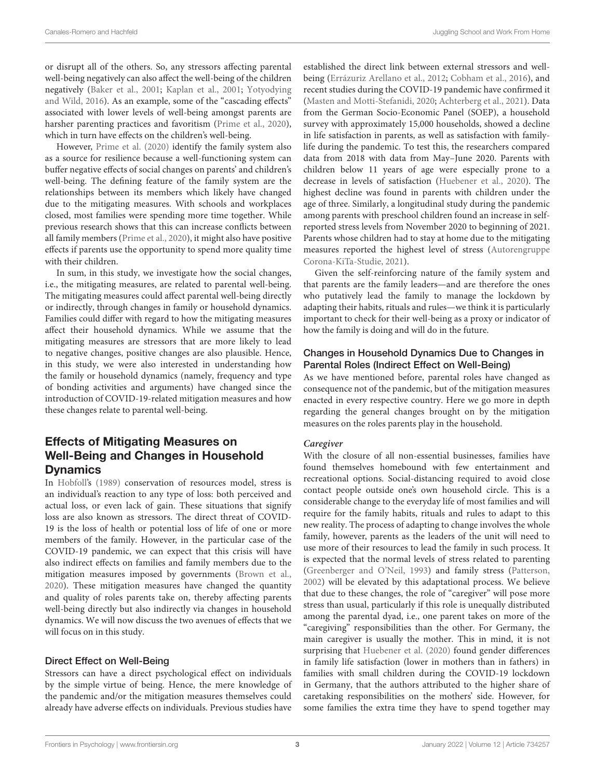or disrupt all of the others. So, any stressors affecting parental well-being negatively can also affect the well-being of the children negatively [\(Baker et al.,](#page-13-6) [2001;](#page-13-6) [Kaplan et al.,](#page-14-9) [2001;](#page-14-9) [Yotyodying](#page-15-0) [and Wild,](#page-15-0) [2016\)](#page-15-0). As an example, some of the "cascading effects" associated with lower levels of well-being amongst parents are harsher parenting practices and favoritism [\(Prime et al.,](#page-14-3) [2020\)](#page-14-3), which in turn have effects on the children's well-being.

However, [Prime et al.](#page-14-3) [\(2020\)](#page-14-3) identify the family system also as a source for resilience because a well-functioning system can buffer negative effects of social changes on parents' and children's well-being. The defining feature of the family system are the relationships between its members which likely have changed due to the mitigating measures. With schools and workplaces closed, most families were spending more time together. While previous research shows that this can increase conflicts between all family members [\(Prime et al.,](#page-14-3) [2020\)](#page-14-3), it might also have positive effects if parents use the opportunity to spend more quality time with their children.

In sum, in this study, we investigate how the social changes, i.e., the mitigating measures, are related to parental well-being. The mitigating measures could affect parental well-being directly or indirectly, through changes in family or household dynamics. Families could differ with regard to how the mitigating measures affect their household dynamics. While we assume that the mitigating measures are stressors that are more likely to lead to negative changes, positive changes are also plausible. Hence, in this study, we were also interested in understanding how the family or household dynamics (namely, frequency and type of bonding activities and arguments) have changed since the introduction of COVID-19-related mitigation measures and how these changes relate to parental well-being.

# Effects of Mitigating Measures on Well-Being and Changes in Household **Dynamics**

In [Hobfoll'](#page-14-10)s [\(1989\)](#page-14-10) conservation of resources model, stress is an individual's reaction to any type of loss: both perceived and actual loss, or even lack of gain. These situations that signify loss are also known as stressors. The direct threat of COVID-19 is the loss of health or potential loss of life of one or more members of the family. However, in the particular case of the COVID-19 pandemic, we can expect that this crisis will have also indirect effects on families and family members due to the mitigation measures imposed by governments [\(Brown et al.,](#page-13-7) [2020\)](#page-13-7). These mitigation measures have changed the quantity and quality of roles parents take on, thereby affecting parents well-being directly but also indirectly via changes in household dynamics. We will now discuss the two avenues of effects that we will focus on in this study.

### Direct Effect on Well-Being

Stressors can have a direct psychological effect on individuals by the simple virtue of being. Hence, the mere knowledge of the pandemic and/or the mitigation measures themselves could already have adverse effects on individuals. Previous studies have established the direct link between external stressors and wellbeing [\(Errázuriz Arellano et al.,](#page-13-8) [2012;](#page-13-8) [Cobham et al.,](#page-13-9) [2016\)](#page-13-9), and recent studies during the COVID-19 pandemic have confirmed it [\(Masten and Motti-Stefanidi,](#page-14-11) [2020;](#page-14-11) [Achterberg et al.,](#page-13-10) [2021\)](#page-13-10). Data from the German Socio-Economic Panel (SOEP), a household survey with approximately 15,000 households, showed a decline in life satisfaction in parents, as well as satisfaction with familylife during the pandemic. To test this, the researchers compared data from 2018 with data from May–June 2020. Parents with children below 11 years of age were especially prone to a decrease in levels of satisfaction [\(Huebener et al.,](#page-14-12) [2020\)](#page-14-12). The highest decline was found in parents with children under the age of three. Similarly, a longitudinal study during the pandemic among parents with preschool children found an increase in selfreported stress levels from November 2020 to beginning of 2021. Parents whose children had to stay at home due to the mitigating measures reported the highest level of stress [\(Autorengruppe](#page-13-11) [Corona-KiTa-Studie,](#page-13-11) [2021\)](#page-13-11).

Given the self-reinforcing nature of the family system and that parents are the family leaders—and are therefore the ones who putatively lead the family to manage the lockdown by adapting their habits, rituals and rules—we think it is particularly important to check for their well-being as a proxy or indicator of how the family is doing and will do in the future.

### Changes in Household Dynamics Due to Changes in Parental Roles (Indirect Effect on Well-Being)

As we have mentioned before, parental roles have changed as consequence not of the pandemic, but of the mitigation measures enacted in every respective country. Here we go more in depth regarding the general changes brought on by the mitigation measures on the roles parents play in the household.

### **Caregiver**

With the closure of all non-essential businesses, families have found themselves homebound with few entertainment and recreational options. Social-distancing required to avoid close contact people outside one's own household circle. This is a considerable change to the everyday life of most families and will require for the family habits, rituals and rules to adapt to this new reality. The process of adapting to change involves the whole family, however, parents as the leaders of the unit will need to use more of their resources to lead the family in such process. It is expected that the normal levels of stress related to parenting [\(Greenberger and O'Neil,](#page-14-13) [1993\)](#page-14-13) and family stress [\(Patterson,](#page-14-5) [2002\)](#page-14-5) will be elevated by this adaptational process. We believe that due to these changes, the role of "caregiver" will pose more stress than usual, particularly if this role is unequally distributed among the parental dyad, i.e., one parent takes on more of the "caregiving" responsibilities than the other. For Germany, the main caregiver is usually the mother. This in mind, it is not surprising that [Huebener et al.](#page-14-12) [\(2020\)](#page-14-12) found gender differences in family life satisfaction (lower in mothers than in fathers) in families with small children during the COVID-19 lockdown in Germany, that the authors attributed to the higher share of caretaking responsibilities on the mothers' side. However, for some families the extra time they have to spend together may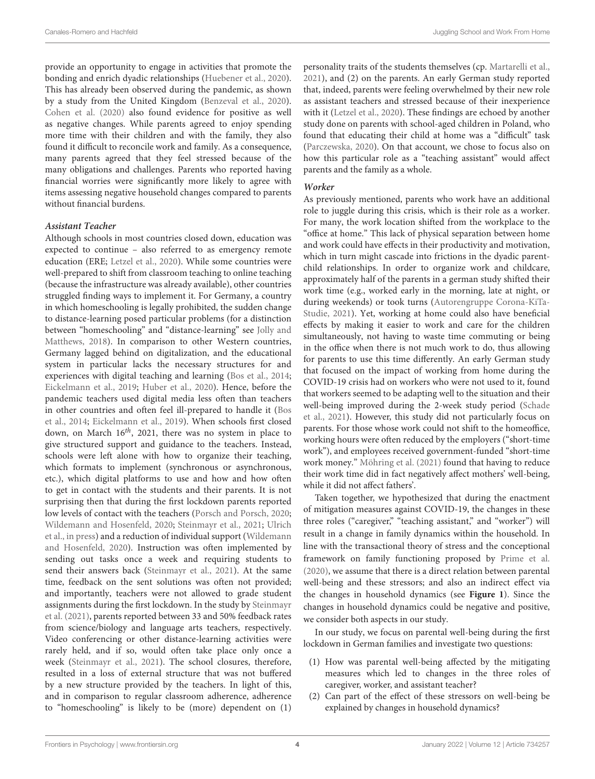provide an opportunity to engage in activities that promote the bonding and enrich dyadic relationships [\(Huebener et al.,](#page-14-12) [2020\)](#page-14-12). This has already been observed during the pandemic, as shown by a study from the United Kingdom [\(Benzeval et al.,](#page-13-12) [2020\)](#page-13-12). [Cohen et al.](#page-13-13) [\(2020\)](#page-13-13) also found evidence for positive as well as negative changes. While parents agreed to enjoy spending more time with their children and with the family, they also found it difficult to reconcile work and family. As a consequence, many parents agreed that they feel stressed because of the many obligations and challenges. Parents who reported having financial worries were significantly more likely to agree with items assessing negative household changes compared to parents without financial burdens.

### **Assistant Teacher**

Although schools in most countries closed down, education was expected to continue – also referred to as emergency remote education (ERE; [Letzel et al.,](#page-14-14) [2020\)](#page-14-14). While some countries were well-prepared to shift from classroom teaching to online teaching (because the infrastructure was already available), other countries struggled finding ways to implement it. For Germany, a country in which homeschooling is legally prohibited, the sudden change to distance-learning posed particular problems (for a distinction between "homeschooling" and "distance-learning" see [Jolly and](#page-14-15) [Matthews,](#page-14-15) [2018\)](#page-14-15). In comparison to other Western countries, Germany lagged behind on digitalization, and the educational system in particular lacks the necessary structures for and experiences with digital teaching and learning [\(Bos et al.,](#page-13-14) [2014;](#page-13-14) [Eickelmann et al.,](#page-13-15) [2019;](#page-13-15) [Huber et al.,](#page-14-16) [2020\)](#page-14-16). Hence, before the pandemic teachers used digital media less often than teachers in other countries and often feel ill-prepared to handle it [\(Bos](#page-13-14) [et al.,](#page-13-14) [2014;](#page-13-14) [Eickelmann et al.,](#page-13-15) [2019\)](#page-13-15). When schools first closed down, on March  $16^{th}$ , 2021, there was no system in place to give structured support and guidance to the teachers. Instead, schools were left alone with how to organize their teaching, which formats to implement (synchronous or asynchronous, etc.), which digital platforms to use and how and how often to get in contact with the students and their parents. It is not surprising then that during the first lockdown parents reported low levels of contact with the teachers [\(Porsch and Porsch,](#page-14-17) [2020;](#page-14-17) [Wildemann and Hosenfeld,](#page-15-1) [2020;](#page-15-1) [Steinmayr et al.,](#page-14-18) [2021;](#page-14-18) [Ulrich](#page-14-19) [et al.,](#page-14-19) [in press\)](#page-14-19) and a reduction of individual support [\(Wildemann](#page-15-1) [and Hosenfeld,](#page-15-1) [2020\)](#page-15-1). Instruction was often implemented by sending out tasks once a week and requiring students to send their answers back [\(Steinmayr et al.,](#page-14-18) [2021\)](#page-14-18). At the same time, feedback on the sent solutions was often not provided; and importantly, teachers were not allowed to grade student assignments during the first lockdown. In the study by [Steinmayr](#page-14-18) [et al.](#page-14-18) [\(2021\)](#page-14-18), parents reported between 33 and 50% feedback rates from science/biology and language arts teachers, respectively. Video conferencing or other distance-learning activities were rarely held, and if so, would often take place only once a week [\(Steinmayr et al.,](#page-14-18) [2021\)](#page-14-18). The school closures, therefore, resulted in a loss of external structure that was not buffered by a new structure provided by the teachers. In light of this, and in comparison to regular classroom adherence, adherence to "homeschooling" is likely to be (more) dependent on (1) personality traits of the students themselves (cp. [Martarelli et al.,](#page-14-20) [2021\)](#page-14-20), and (2) on the parents. An early German study reported that, indeed, parents were feeling overwhelmed by their new role as assistant teachers and stressed because of their inexperience with it [\(Letzel et al.,](#page-14-14) [2020\)](#page-14-14). These findings are echoed by another study done on parents with school-aged children in Poland, who found that educating their child at home was a "difficult" task [\(Parczewska,](#page-14-21) [2020\)](#page-14-21). On that account, we chose to focus also on how this particular role as a "teaching assistant" would affect parents and the family as a whole.

### **Worker**

As previously mentioned, parents who work have an additional role to juggle during this crisis, which is their role as a worker. For many, the work location shifted from the workplace to the "office at home." This lack of physical separation between home and work could have effects in their productivity and motivation, which in turn might cascade into frictions in the dyadic parentchild relationships. In order to organize work and childcare, approximately half of the parents in a german study shifted their work time (e.g., worked early in the morning, late at night, or during weekends) or took turns [\(Autorengruppe Corona-KiTa-](#page-13-11)[Studie,](#page-13-11) [2021\)](#page-13-11). Yet, working at home could also have beneficial effects by making it easier to work and care for the children simultaneously, not having to waste time commuting or being in the office when there is not much work to do, thus allowing for parents to use this time differently. An early German study that focused on the impact of working from home during the COVID-19 crisis had on workers who were not used to it, found that workers seemed to be adapting well to the situation and their well-being improved during the 2-week study period [\(Schade](#page-14-22) [et al.,](#page-14-22) [2021\)](#page-14-22). However, this study did not particularly focus on parents. For those whose work could not shift to the homeoffice, working hours were often reduced by the employers ("short-time work"), and employees received government-funded "short-time work money." [Möhring et al.](#page-14-23) [\(2021\)](#page-14-23) found that having to reduce their work time did in fact negatively affect mothers' well-being, while it did not affect fathers'.

Taken together, we hypothesized that during the enactment of mitigation measures against COVID-19, the changes in these three roles ("caregiver," "teaching assistant," and "worker") will result in a change in family dynamics within the household. In line with the transactional theory of stress and the conceptional framework on family functioning proposed by [Prime et al.](#page-14-3) [\(2020\)](#page-14-3), we assume that there is a direct relation between parental well-being and these stressors; and also an indirect effect via the changes in household dynamics (see **[Figure 1](#page-4-0)**). Since the changes in household dynamics could be negative and positive, we consider both aspects in our study.

In our study, we focus on parental well-being during the first lockdown in German families and investigate two questions:

- (1) How was parental well-being affected by the mitigating measures which led to changes in the three roles of caregiver, worker, and assistant teacher?
- (2) Can part of the effect of these stressors on well-being be explained by changes in household dynamics?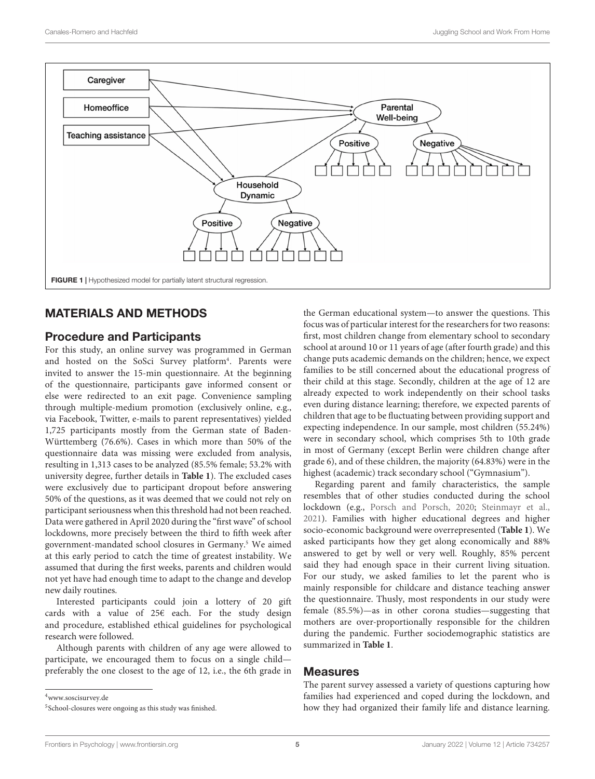

# <span id="page-4-0"></span>MATERIALS AND METHODS

# Procedure and Participants

For this study, an online survey was programmed in German and hosted on the SoSci Survey platform<sup>[4](#page-4-1)</sup>. Parents were invited to answer the 15-min questionnaire. At the beginning of the questionnaire, participants gave informed consent or else were redirected to an exit page. Convenience sampling through multiple-medium promotion (exclusively online, e.g., via Facebook, Twitter, e-mails to parent representatives) yielded 1,725 participants mostly from the German state of Baden-Württemberg (76.6%). Cases in which more than 50% of the questionnaire data was missing were excluded from analysis, resulting in 1,313 cases to be analyzed (85.5% female; 53.2% with university degree, further details in **[Table 1](#page-5-0)**). The excluded cases were exclusively due to participant dropout before answering 50% of the questions, as it was deemed that we could not rely on participant seriousness when this threshold had not been reached. Data were gathered in April 2020 during the "first wave" of school lockdowns, more precisely between the third to fifth week after government-mandated school closures in Germany.[5](#page-4-2) We aimed at this early period to catch the time of greatest instability. We assumed that during the first weeks, parents and children would not yet have had enough time to adapt to the change and develop new daily routines.

Interested participants could join a lottery of 20 gift cards with a value of 25€ each. For the study design and procedure, established ethical guidelines for psychological research were followed.

Although parents with children of any age were allowed to participate, we encouraged them to focus on a single child preferably the one closest to the age of 12, i.e., the 6th grade in

<span id="page-4-1"></span><sup>4</sup>[www.soscisurvey.de](http://www.soscisurvey.de)

the German educational system—to answer the questions. This focus was of particular interest for the researchers for two reasons: first, most children change from elementary school to secondary school at around 10 or 11 years of age (after fourth grade) and this change puts academic demands on the children; hence, we expect families to be still concerned about the educational progress of their child at this stage. Secondly, children at the age of 12 are already expected to work independently on their school tasks even during distance learning; therefore, we expected parents of children that age to be fluctuating between providing support and expecting independence. In our sample, most children (55.24%) were in secondary school, which comprises 5th to 10th grade in most of Germany (except Berlin were children change after grade 6), and of these children, the majority (64.83%) were in the highest (academic) track secondary school ("Gymnasium").

Regarding parent and family characteristics, the sample resembles that of other studies conducted during the school lockdown (e.g., [Porsch and Porsch,](#page-14-17) [2020;](#page-14-17) [Steinmayr et al.,](#page-14-18) [2021\)](#page-14-18). Families with higher educational degrees and higher socio-economic background were overrepresented (**[Table 1](#page-5-0)**). We asked participants how they get along economically and 88% answered to get by well or very well. Roughly, 85% percent said they had enough space in their current living situation. For our study, we asked families to let the parent who is mainly responsible for childcare and distance teaching answer the questionnaire. Thusly, most respondents in our study were female (85.5%)—as in other corona studies—suggesting that mothers are over-proportionally responsible for the children during the pandemic. Further sociodemographic statistics are summarized in **[Table 1](#page-5-0)**.

### Measures

The parent survey assessed a variety of questions capturing how families had experienced and coped during the lockdown, and how they had organized their family life and distance learning.

<span id="page-4-2"></span><sup>5</sup> School-closures were ongoing as this study was finished.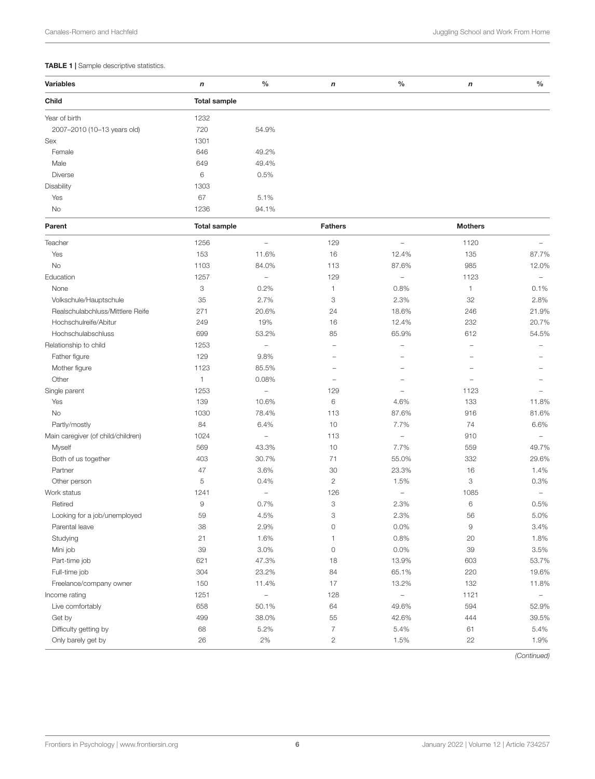### <span id="page-5-0"></span>TABLE 1 | Sample descriptive statistics.

| <b>Variables</b>                   | n                   | $\%$                     | $\mathsf{n}$   | $\%$                              | $\mathsf{n}$   | $\%$                     |  |  |
|------------------------------------|---------------------|--------------------------|----------------|-----------------------------------|----------------|--------------------------|--|--|
| Child                              | <b>Total sample</b> |                          |                |                                   |                |                          |  |  |
| Year of birth                      | 1232                |                          |                |                                   |                |                          |  |  |
| 2007-2010 (10-13 years old)        | 720                 | 54.9%                    |                |                                   |                |                          |  |  |
| Sex                                | 1301                |                          |                |                                   |                |                          |  |  |
| Female                             | 646                 | 49.2%                    |                |                                   |                |                          |  |  |
| Male                               | 649                 | 49.4%                    |                |                                   |                |                          |  |  |
| <b>Diverse</b>                     | 6                   | 0.5%                     |                |                                   |                |                          |  |  |
| Disability                         | 1303                |                          |                |                                   |                |                          |  |  |
| Yes                                | 67                  | 5.1%                     |                |                                   |                |                          |  |  |
| No                                 | 1236                | 94.1%                    |                |                                   |                |                          |  |  |
| Parent                             | <b>Total sample</b> |                          | <b>Fathers</b> |                                   | <b>Mothers</b> |                          |  |  |
| Teacher                            | 1256                | $\qquad \qquad -$        | 129            | $\hspace{1.0cm} - \hspace{1.0cm}$ | 1120           |                          |  |  |
| Yes                                | 153                 | 11.6%                    | 16             | 12.4%                             | 135            | 87.7%                    |  |  |
| No                                 | 1103                | 84.0%                    | 113            | 87.6%                             | 985            | 12.0%                    |  |  |
| Education                          | 1257                | $\overline{\phantom{a}}$ | 129            | $\overline{\phantom{a}}$          | 1123           | $\overline{\phantom{0}}$ |  |  |
| None                               | 3                   | 0.2%                     | 1              | 0.8%                              | 1              | 0.1%                     |  |  |
| Volkschule/Hauptschule             | 35                  | 2.7%                     | 3              | 2.3%                              | 32             | 2.8%                     |  |  |
| Realschulabchluss/Mittlere Reife   | 271                 | 20.6%                    | 24             | 18.6%                             | 246            | 21.9%                    |  |  |
| Hochschulreife/Abitur              | 249                 | 19%                      | 16             | 12.4%                             | 232            | 20.7%                    |  |  |
| Hochschulabschluss                 | 699                 | 53.2%                    | 85             | 65.9%                             | 612            | 54.5%                    |  |  |
| Relationship to child              | 1253                | $\overline{\phantom{a}}$ |                | ÷,                                | ÷,             |                          |  |  |
| Father figure                      | 129                 | 9.8%                     |                |                                   |                |                          |  |  |
| Mother figure                      | 1123                | 85.5%                    |                |                                   |                |                          |  |  |
| Other                              | $\mathbf{1}$        | 0.08%                    |                |                                   |                |                          |  |  |
| Single parent                      | 1253                | $\overline{\phantom{a}}$ | 129            |                                   | 1123           |                          |  |  |
| Yes                                | 139                 | 10.6%                    | 6              | 4.6%                              | 133            | 11.8%                    |  |  |
| No                                 | 1030                | 78.4%                    | 113            | 87.6%                             | 916            | 81.6%                    |  |  |
| Partly/mostly                      | 84                  | 6.4%                     | 10             | 7.7%                              | 74             | 6.6%                     |  |  |
| Main caregiver (of child/children) | 1024                | $\overline{\phantom{a}}$ | 113            | $\hspace{1.0cm} - \hspace{1.0cm}$ | 910            | ÷,                       |  |  |
| Myself                             | 569                 | 43.3%                    | 10             | 7.7%                              | 559            | 49.7%                    |  |  |
| Both of us together                | 403                 | 30.7%                    | 71             | 55.0%                             | 332            | 29.6%                    |  |  |
| Partner                            | 47                  | 3.6%                     | 30             | 23.3%                             | 16             | 1.4%                     |  |  |
| Other person                       | 5                   | 0.4%                     | $\overline{c}$ | 1.5%                              | 3              | 0.3%                     |  |  |
| Work status                        | 1241                | $\overline{\phantom{a}}$ | 126            | $\overline{\phantom{a}}$          | 1085           | $\overline{\phantom{0}}$ |  |  |
| Retired                            | $\hbox{9}$          | 0.7%                     | 3              | 2.3%                              | 6              | 0.5%                     |  |  |
| Looking for a job/unemployed       | 59                  | 4.5%                     | 3              | 2.3%                              | 56             | 5.0%                     |  |  |
| Parental leave                     | 38                  | 2.9%                     | 0              | 0.0%                              | 9              | 3.4%                     |  |  |
| Studying                           | 21                  | 1.6%                     | 1              | 0.8%                              | 20             | 1.8%                     |  |  |
| Mini job                           | 39                  | 3.0%                     | $\circ$        | 0.0%                              | 39             | 3.5%                     |  |  |
| Part-time job                      | 621                 | 47.3%                    | 18             | 13.9%                             | 603            | 53.7%                    |  |  |
| Full-time job                      | 304                 | 23.2%                    | 84             | 65.1%                             | 220            | 19.6%                    |  |  |
| Freelance/company owner            | 150                 | 11.4%                    | 17             | 13.2%                             | 132            | 11.8%                    |  |  |
| Income rating                      | 1251                | $\overline{\phantom{0}}$ | 128            | $\qquad \qquad -$                 | 1121           | $\qquad \qquad -$        |  |  |
| Live comfortably                   | 658                 | 50.1%                    | 64             | 49.6%                             | 594            | 52.9%                    |  |  |
| Get by                             | 499                 | 38.0%                    | 55             | 42.6%                             | 444            | 39.5%                    |  |  |
| Difficulty getting by              | 68                  | 5.2%                     | $\overline{7}$ | 5.4%                              | 61             | 5.4%                     |  |  |
| Only barely get by                 | 26                  | $2\%$                    | $\overline{c}$ | 1.5%                              | 22             | 1.9%                     |  |  |
|                                    |                     |                          |                |                                   |                |                          |  |  |

(Continued)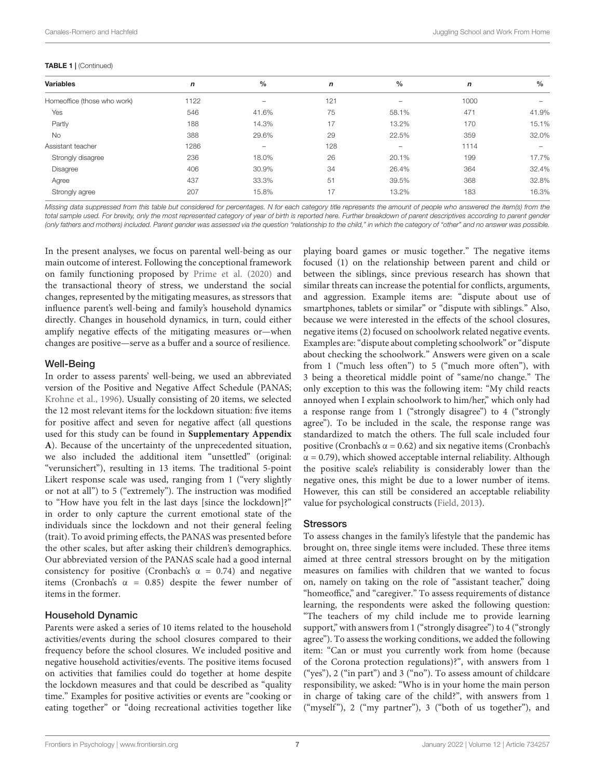#### TABLE 1 | (Continued)

| <b>Variables</b>            | $\mathbf n$ | $\frac{0}{0}$            | n   | $\%$              | n    | $\frac{0}{0}$                |
|-----------------------------|-------------|--------------------------|-----|-------------------|------|------------------------------|
| Homeoffice (those who work) | 1122        | -                        | 121 | -                 | 1000 |                              |
| Yes                         | 546         | 41.6%                    | 75  | 58.1%             | 471  | 41.9%                        |
| Partly                      | 188         | 14.3%                    | 17  | 13.2%             | 170  | 15.1%                        |
| No                          | 388         | 29.6%                    | 29  | 22.5%             | 359  | 32.0%                        |
| Assistant teacher           | 1286        | $\overline{\phantom{0}}$ | 128 | $\qquad \qquad -$ | 1114 | $\qquad \qquad \blacksquare$ |
| Strongly disagree           | 236         | 18.0%                    | 26  | 20.1%             | 199  | 17.7%                        |
| Disagree                    | 406         | 30.9%                    | 34  | 26.4%             | 364  | 32.4%                        |
| Agree                       | 437         | 33.3%                    | 51  | 39.5%             | 368  | 32.8%                        |
| Strongly agree              | 207         | 15.8%                    | 17  | 13.2%             | 183  | 16.3%                        |

Missing data suppressed from this table but considered for percentages. N for each category title represents the amount of people who answered the item(s) from the total sample used. For brevity, only the most represented category of year of birth is reported here. Further breakdown of parent descriptives according to parent gender (only fathers and mothers) included. Parent gender was assessed via the question "relationship to the child," in which the category of "other" and no answer was possible.

In the present analyses, we focus on parental well-being as our main outcome of interest. Following the conceptional framework on family functioning proposed by [Prime et al.](#page-14-3) [\(2020\)](#page-14-3) and the transactional theory of stress, we understand the social changes, represented by the mitigating measures, as stressors that influence parent's well-being and family's household dynamics directly. Changes in household dynamics, in turn, could either amplify negative effects of the mitigating measures or—when changes are positive—serve as a buffer and a source of resilience.

### Well-Being

In order to assess parents' well-being, we used an abbreviated version of the Positive and Negative Affect Schedule (PANAS; [Krohne et al.,](#page-14-24) [1996\)](#page-14-24). Usually consisting of 20 items, we selected the 12 most relevant items for the lockdown situation: five items for positive affect and seven for negative affect (all questions used for this study can be found in **[Supplementary Appendix](#page-13-16) [A](#page-13-16)**). Because of the uncertainty of the unprecedented situation, we also included the additional item "unsettled" (original: "verunsichert"), resulting in 13 items. The traditional 5-point Likert response scale was used, ranging from 1 ("very slightly or not at all") to 5 ("extremely"). The instruction was modified to "How have you felt in the last days [since the lockdown]?" in order to only capture the current emotional state of the individuals since the lockdown and not their general feeling (trait). To avoid priming effects, the PANAS was presented before the other scales, but after asking their children's demographics. Our abbreviated version of the PANAS scale had a good internal consistency for positive (Cronbach's  $\alpha = 0.74$ ) and negative items (Cronbach's  $\alpha = 0.85$ ) despite the fewer number of items in the former.

### Household Dynamic

Parents were asked a series of 10 items related to the household activities/events during the school closures compared to their frequency before the school closures. We included positive and negative household activities/events. The positive items focused on activities that families could do together at home despite the lockdown measures and that could be described as "quality time." Examples for positive activities or events are "cooking or eating together" or "doing recreational activities together like playing board games or music together." The negative items focused (1) on the relationship between parent and child or between the siblings, since previous research has shown that similar threats can increase the potential for conflicts, arguments, and aggression. Example items are: "dispute about use of smartphones, tablets or similar" or "dispute with siblings." Also, because we were interested in the effects of the school closures, negative items (2) focused on schoolwork related negative events. Examples are: "dispute about completing schoolwork" or "dispute about checking the schoolwork." Answers were given on a scale from 1 ("much less often") to 5 ("much more often"), with 3 being a theoretical middle point of "same/no change." The only exception to this was the following item: "My child reacts annoyed when I explain schoolwork to him/her," which only had a response range from 1 ("strongly disagree") to 4 ("strongly agree"). To be included in the scale, the response range was standardized to match the others. The full scale included four positive (Cronbach's  $\alpha$  = 0.62) and six negative items (Cronbach's  $\alpha$  = 0.79), which showed acceptable internal reliability. Although the positive scale's reliability is considerably lower than the negative ones, this might be due to a lower number of items. However, this can still be considered an acceptable reliability value for psychological constructs [\(Field,](#page-13-17) [2013\)](#page-13-17).

### **Stressors**

To assess changes in the family's lifestyle that the pandemic has brought on, three single items were included. These three items aimed at three central stressors brought on by the mitigation measures on families with children that we wanted to focus on, namely on taking on the role of "assistant teacher," doing "homeoffice," and "caregiver." To assess requirements of distance learning, the respondents were asked the following question: "The teachers of my child include me to provide learning support," with answers from 1 ("strongly disagree") to 4 ("strongly agree"). To assess the working conditions, we added the following item: "Can or must you currently work from home (because of the Corona protection regulations)?", with answers from 1 ("yes"), 2 ("in part") and 3 ("no"). To assess amount of childcare responsibility, we asked: "Who is in your home the main person in charge of taking care of the child?", with answers from 1 ("myself"), 2 ("my partner"), 3 ("both of us together"), and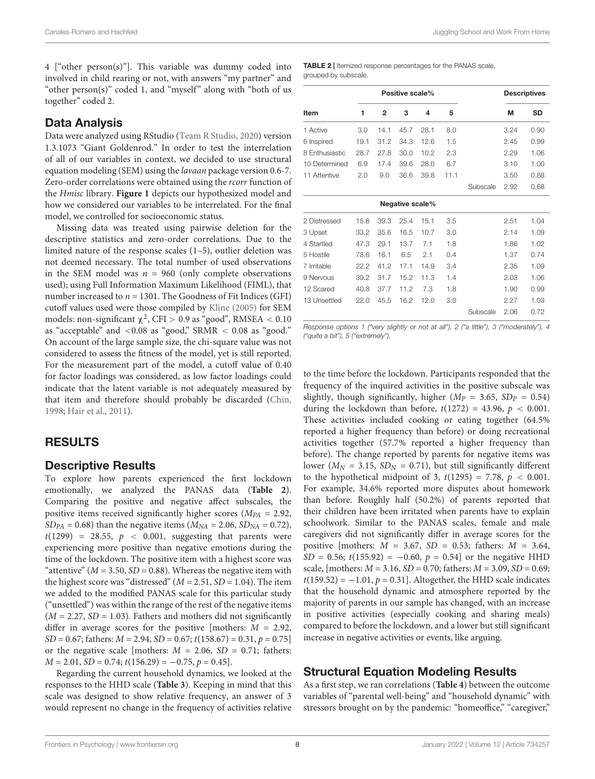4 ["other person(s)"]. This variable was dummy coded into involved in child rearing or not, with answers "my partner" and "other person(s)" coded 1, and "myself" along with "both of us together" coded 2.

# Data Analysis

Data were analyzed using RStudio [\(Team R Studio,](#page-14-25) [2020\)](#page-14-25) version 1.3.1073 "Giant Goldenrod." In order to test the interrelation of all of our variables in context, we decided to use structural equation modeling (SEM) using the lavaan package version 0.6-7. Zero-order correlations were obtained using the rcorr function of the Hmisc library. **[Figure 1](#page-4-0)** depicts our hypothesized model and how we considered our variables to be interrelated. For the final model, we controlled for socioeconomic status.

Missing data was treated using pairwise deletion for the descriptive statistics and zero-order correlations. Due to the limited nature of the response scales (1–5), outlier deletion was not deemed necessary. The total number of used observations in the SEM model was  $n = 960$  (only complete observations used); using Full Information Maximum Likelihood (FIML), that number increased to  $n = 1301$ . The Goodness of Fit Indices (GFI) cutoff values used were those compiled by [Kline](#page-14-26) [\(2005\)](#page-14-26) for SEM models: non-significant  $\chi^2$ , CFI > 0.9 as "good", RMSEA < 0.10 as "acceptable" and <0.08 as "good," SRMR < 0.08 as "good." On account of the large sample size, the chi-square value was not considered to assess the fitness of the model, yet is still reported. For the measurement part of the model, a cutoff value of 0.40 for factor loadings was considered, as low factor loadings could indicate that the latent variable is not adequately measured by that item and therefore should probably be discarded [\(Chin,](#page-13-18) [1998;](#page-13-18) [Hair et al.,](#page-14-27) [2011\)](#page-14-27).

# RESULTS

# Descriptive Results

To explore how parents experienced the first lockdown emotionally, we analyzed the PANAS data (**[Table 2](#page-7-0)**). Comparing the positive and negative affect subscales, the positive items received significantly higher scores ( $M_{PA} = 2.92$ ,  $SD_{PA} = 0.68$ ) than the negative items ( $M_{NA} = 2.06$ ,  $SD_{NA} = 0.72$ ),  $t(1299) = 28.55$ ,  $p < 0.001$ , suggesting that parents were experiencing more positive than negative emotions during the time of the lockdown. The positive item with a highest score was "attentive" ( $M = 3.50$ ,  $SD = 0.88$ ). Whereas the negative item with the highest score was "distressed" ( $M = 2.51$ ,  $SD = 1.04$ ). The item we added to the modified PANAS scale for this particular study ("unsettled") was within the range of the rest of the negative items  $(M = 2.27, SD = 1.03)$ . Fathers and mothers did not significantly differ in average scores for the positive [mothers:  $M = 2.92$ ,  $SD = 0.67$ ; fathers:  $M = 2.94$ ,  $SD = 0.67$ ;  $t(158.67) = 0.31$ ,  $p = 0.75$ ] or the negative scale [mothers:  $M = 2.06$ ,  $SD = 0.71$ ; fathers:  $M = 2.01$ ,  $SD = 0.74$ ;  $t(156.29) = -0.75$ ,  $p = 0.45$ .

Regarding the current household dynamics, we looked at the responses to the HHD scale (**[Table 3](#page-8-0)**). Keeping in mind that this scale was designed to show relative frequency, an answer of 3 would represent no change in the frequency of activities relative

<span id="page-7-0"></span>TABLE 2 | Itemized response percentages for the PANAS scale, grouped by subscale.

|                |      |                | Positive scale% |      |      | <b>Descriptives</b> |      |           |
|----------------|------|----------------|-----------------|------|------|---------------------|------|-----------|
| Item           | 1    | $\overline{2}$ | 3               | 4    | 5    |                     | М    | <b>SD</b> |
| 1 Active       | 3.0  | 14.1           | 45.7            | 28.1 | 8.0  |                     | 3.24 | 0.90      |
| 6 Inspired     | 19.1 | 31.2           | 34.3            | 12.6 | 1.5  |                     | 2.45 | 0.99      |
| 8 Enthusiastic | 28.7 | 27.8           | 30.0            | 10.2 | 2.3  |                     | 2.29 | 1.06      |
| 10 Determined  | 6.9  | 17.4           | 39.6            | 28.0 | 6.7  |                     | 3.10 | 1.00      |
| 11 Attentive   | 2.0  | 9.0            | 36.6            | 39.8 | 11.1 |                     | 3.50 | 0.88      |
|                |      |                |                 |      |      | Subscale            | 2.92 | 0.68      |
|                |      |                | Negative scale% |      |      |                     |      |           |
| 2 Distressed   | 15.6 | 39.3           | 25.4            | 15.1 | 3.5  |                     | 2.51 | 1.04      |
| 3 Upset        | 33.2 | 35.6           | 16.5            | 10.7 | 3.0  |                     | 2.14 | 1.09      |
| 4 Startled     | 47.3 | 29.1           | 13.7            | 7.1  | 1.8  |                     | 1.86 | 1.02      |

| 4 Startled   |      |                     |         | 47.3 29.1 13.7 7.1 1.8  |      |          | 1.86 | 1.02 |  |
|--------------|------|---------------------|---------|-------------------------|------|----------|------|------|--|
| 5 Hostile    | 73.6 | 16.1                | 6.5 2.1 |                         | 04   |          | 1.37 | 0.74 |  |
| 7 Irritable  |      |                     |         | 22.2 41.2 17.1 14.9 3.4 |      |          | 2.35 | 1.09 |  |
| 9 Nervous    |      | 39.2 31.7 15.2 11.3 |         |                         | - 14 |          | 2.03 | 1.06 |  |
| 12 Scared    |      | 40.8 37.7 11.2 7.3  |         |                         | -18  |          | 1.90 | 0.99 |  |
| 13 Unsettled |      | 22.0 45.5 16.2 12.0 |         |                         | 30.  |          | 2.27 | 1.03 |  |
|              |      |                     |         |                         |      | Subscale | 2.06 | 0.72 |  |

Response options 1 ("very slightly or not at all"), 2 ("a little"), 3 ("moderately"), 4 ("quite a bit"), 5 ("extremely").

to the time before the lockdown. Participants responded that the frequency of the inquired activities in the positive subscale was slightly, though significantly, higher ( $M<sub>P</sub> = 3.65$ ,  $SD<sub>P</sub> = 0.54$ ) during the lockdown than before,  $t(1272) = 43.96$ ,  $p < 0.001$ . These activities included cooking or eating together (64.5% reported a higher frequency than before) or doing recreational activities together (57.7% reported a higher frequency than before). The change reported by parents for negative items was lower ( $M_N$  = 3.15,  $SD_N$  = 0.71), but still significantly different to the hypothetical midpoint of 3,  $t(1295) = 7.78$ ,  $p < 0.001$ . For example, 34.6% reported more disputes about homework than before. Roughly half (50.2%) of parents reported that their children have been irritated when parents have to explain schoolwork. Similar to the PANAS scales, female and male caregivers did not significantly differ in average scores for the positive [mothers:  $M = 3.67$ ,  $SD = 0.53$ ; fathers:  $M = 3.64$ ,  $SD = 0.56$ ;  $t(155.92) = -0.60$ ,  $p = 0.54$  or the negative HHD scale, [mothers:  $M = 3.16$ ,  $SD = 0.70$ ; fathers:  $M = 3.09$ ,  $SD = 0.69$ ;  $t(159.52) = -1.01$ ,  $p = 0.31$ . Altogether, the HHD scale indicates that the household dynamic and atmosphere reported by the majority of parents in our sample has changed, with an increase in positive activities (especially cooking and sharing meals) compared to before the lockdown, and a lower but still significant increase in negative activities or events, like arguing.

# Structural Equation Modeling Results

As a first step, we ran correlations (**[Table 4](#page-9-0)**) between the outcome variables of "parental well-being" and "household dynamic" with stressors brought on by the pandemic: "homeoffice," "caregiver,"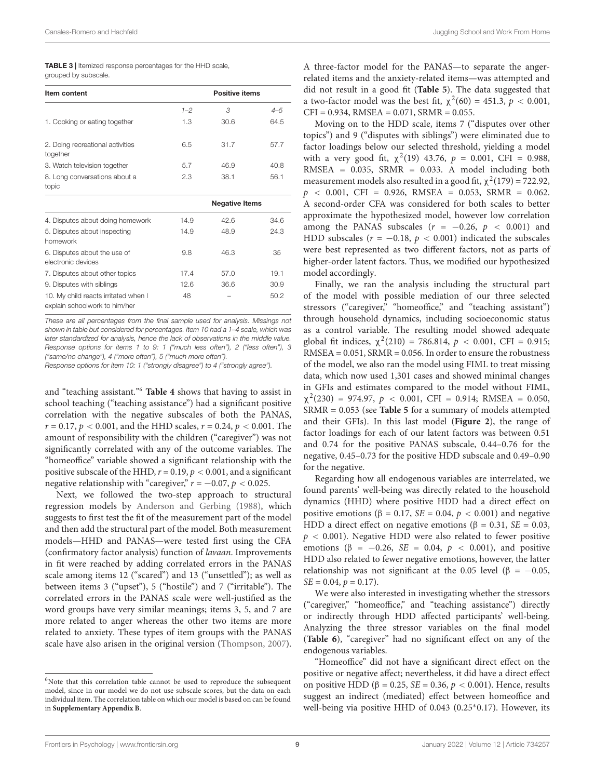<span id="page-8-0"></span>

| <b>TABLE 3</b>   Itemized response percentages for the HHD scale, |
|-------------------------------------------------------------------|
| grouped by subscale.                                              |

| Item content                                                          |         | <b>Positive items</b> |      |
|-----------------------------------------------------------------------|---------|-----------------------|------|
|                                                                       | $1 - 2$ | 3                     | 4–5  |
| 1. Cooking or eating together                                         | 1.3     | 30.6                  | 64.5 |
| 2. Doing recreational activities<br>together                          | 6.5     | 31.7                  | 57.7 |
| 3. Watch television together                                          | 5.7     | 46.9                  | 40.8 |
| 8. Long conversations about a<br>topic                                | 2.3     | 38.1                  | 56.1 |
|                                                                       |         | <b>Negative Items</b> |      |
| 4. Disputes about doing homework                                      | 14.9    | 42.6                  | 34.6 |
| 5. Disputes about inspecting<br>homework                              | 14.9    | 48.9                  | 24.3 |
| 6. Disputes about the use of<br>electronic devices                    | 9.8     | 46.3                  | 35   |
| 7. Disputes about other topics                                        | 17.4    | 57.0                  | 19.1 |
| 9. Disputes with siblings                                             | 12.6    | 36.6                  | 30.9 |
| 10. My child reacts irritated when I<br>explain schoolwork to him/her | 48      |                       | 50.2 |

These are all percentages from the final sample used for analysis. Missings not shown in table but considered for percentages. Item 10 had a 1–4 scale, which was later standardized for analysis, hence the lack of observations in the middle value. Response options for items 1 to 9: 1 ("much less often"), 2 ("less often"), 3 ("same/no change"), 4 ("more often"), 5 ("much more often").

Response options for item 10: 1 ("strongly disagree") to 4 ("strongly agree").

and "teaching assistant."[6](#page-8-1) **[Table 4](#page-9-0)** shows that having to assist in school teaching ("teaching assistance") had a significant positive correlation with the negative subscales of both the PANAS,  $r = 0.17$ ,  $p < 0.001$ , and the HHD scales,  $r = 0.24$ ,  $p < 0.001$ . The amount of responsibility with the children ("caregiver") was not significantly correlated with any of the outcome variables. The "homeoffice" variable showed a significant relationship with the positive subscale of the HHD,  $r = 0.19$ ,  $p < 0.001$ , and a significant negative relationship with "caregiver,"  $r = -0.07$ ,  $p < 0.025$ .

Next, we followed the two-step approach to structural regression models by [Anderson and Gerbing](#page-13-19) [\(1988\)](#page-13-19), which suggests to first test the fit of the measurement part of the model and then add the structural part of the model. Both measurement models—HHD and PANAS—were tested first using the CFA (confirmatory factor analysis) function of lavaan. Improvements in fit were reached by adding correlated errors in the PANAS scale among items 12 ("scared") and 13 ("unsettled"); as well as between items 3 ("upset"), 5 ("hostile") and 7 ("irritable"). The correlated errors in the PANAS scale were well-justified as the word groups have very similar meanings; items 3, 5, and 7 are more related to anger whereas the other two items are more related to anxiety. These types of item groups with the PANAS scale have also arisen in the original version [\(Thompson,](#page-14-28) [2007\)](#page-14-28). A three-factor model for the PANAS—to separate the angerrelated items and the anxiety-related items—was attempted and did not result in a good fit (**[Table 5](#page-9-1)**). The data suggested that a two-factor model was the best fit,  $\chi^2(60) = 451.3$ ,  $p < 0.001$ ,  $CFI = 0.934$ , RMSEA =  $0.071$ , SRMR =  $0.055$ .

Moving on to the HDD scale, items 7 ("disputes over other topics") and 9 ("disputes with siblings") were eliminated due to factor loadings below our selected threshold, yielding a model with a very good fit,  $\chi^2(19)$  43.76,  $p = 0.001$ , CFI = 0.988, RMSEA = 0.035, SRMR = 0.033. A model including both measurement models also resulted in a good fit,  $\chi^2(179) = 722.92$ ,  $p \sim 0.001$ , CFI = 0.926, RMSEA = 0.053, SRMR = 0.062. A second-order CFA was considered for both scales to better approximate the hypothesized model, however low correlation among the PANAS subscales ( $r = -0.26$ ,  $p < 0.001$ ) and HDD subscales ( $r = -0.18$ ,  $p < 0.001$ ) indicated the subscales were best represented as two different factors, not as parts of higher-order latent factors. Thus, we modified our hypothesized model accordingly.

Finally, we ran the analysis including the structural part of the model with possible mediation of our three selected stressors ("caregiver," "homeoffice," and "teaching assistant") through household dynamics, including socioeconomic status as a control variable. The resulting model showed adequate global fit indices,  $\chi^2(210) = 786.814$ ,  $p < 0.001$ , CFI = 0.915;  $RMSEA = 0.051$ ,  $SRMR = 0.056$ . In order to ensure the robustness of the model, we also ran the model using FIML to treat missing data, which now used 1,301 cases and showed minimal changes in GFIs and estimates compared to the model without FIML,  $\chi^2(230) = 974.97$ ,  $p < 0.001$ , CFI = 0.914; RMSEA = 0.050, SRMR = 0.053 (see **[Table 5](#page-9-1)** for a summary of models attempted and their GFIs). In this last model (**[Figure 2](#page-10-0)**), the range of factor loadings for each of our latent factors was between 0.51 and 0.74 for the positive PANAS subscale, 0.44–0.76 for the negative, 0.45–0.73 for the positive HDD subscale and 0.49–0.90 for the negative.

Regarding how all endogenous variables are interrelated, we found parents' well-being was directly related to the household dynamics (HHD) where positive HDD had a direct effect on positive emotions (β = 0.17, *SE* = 0.04,  $p$  < 0.001) and negative HDD a direct effect on negative emotions ( $\beta = 0.31$ ,  $SE = 0.03$ ,  $p < 0.001$ ). Negative HDD were also related to fewer positive emotions ( $\beta = -0.26$ ,  $SE = 0.04$ ,  $p < 0.001$ ), and positive HDD also related to fewer negative emotions, however, the latter relationship was not significant at the 0.05 level ( $\beta = -0.05$ ,  $SE = 0.04, p = 0.17$ .

We were also interested in investigating whether the stressors ("caregiver," "homeoffice," and "teaching assistance") directly or indirectly through HDD affected participants' well-being. Analyzing the three stressor variables on the final model (**[Table 6](#page-10-1)**), "caregiver" had no significant effect on any of the endogenous variables.

"Homeoffice" did not have a significant direct effect on the positive or negative affect; nevertheless, it did have a direct effect on positive HDD (β = 0.25, *SE* = 0.36,  $p$  < 0.001). Hence, results suggest an indirect (mediated) effect between homeoffice and well-being via positive HHD of 0.043 (0.25<sup>∗</sup> 0.17). However, its

<span id="page-8-1"></span><sup>&</sup>lt;sup>6</sup>Note that this correlation table cannot be used to reproduce the subsequent model, since in our model we do not use subscale scores, but the data on each individual item. The correlation table on which our model is based on can be found in **[Supplementary Appendix B](#page-13-16)**.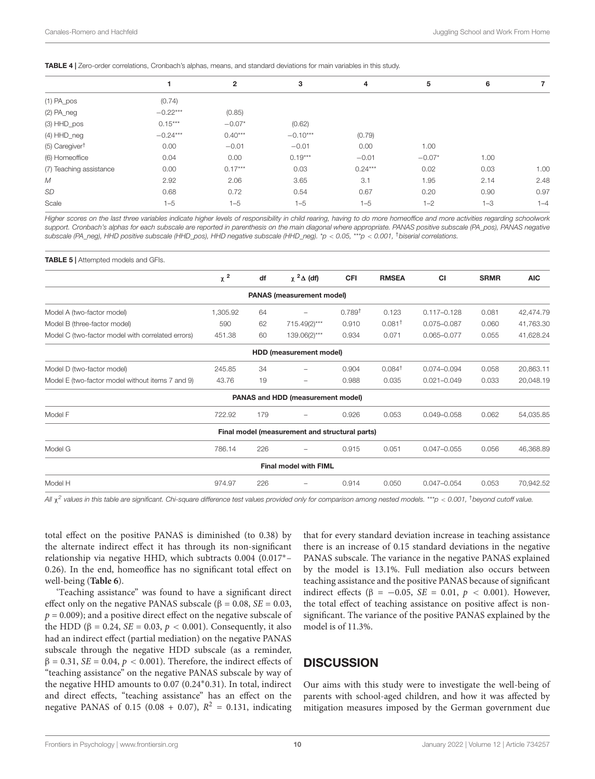#### <span id="page-9-0"></span>TABLE 4 | Zero-order correlations, Cronbach's alphas, means, and standard deviations for main variables in this study.

|                              |            | $\mathbf{2}$ | 3          | 4         | 5        | 6       |         |
|------------------------------|------------|--------------|------------|-----------|----------|---------|---------|
| $(1)$ PA_pos                 | (0.74)     |              |            |           |          |         |         |
| $(2)$ PA_neg                 | $-0.22***$ | (0.85)       |            |           |          |         |         |
| $(3)$ HHD_pos                | $0.15***$  | $-0.07*$     | (0.62)     |           |          |         |         |
| $(4)$ HHD_neg                | $-0.24***$ | $0.40***$    | $-0.10***$ | (0.79)    |          |         |         |
| $(5)$ Caregiver <sup>†</sup> | 0.00       | $-0.01$      | $-0.01$    | 0.00      | 1.00     |         |         |
| (6) Homeoffice               | 0.04       | 0.00         | $0.19***$  | $-0.01$   | $-0.07*$ | 1.00    |         |
| (7) Teaching assistance      | 0.00       | $0.17***$    | 0.03       | $0.24***$ | 0.02     | 0.03    | 1.00    |
| M                            | 2.92       | 2.06         | 3.65       | 3.1       | 1.95     | 2.14    | 2.48    |
| SD                           | 0.68       | 0.72         | 0.54       | 0.67      | 0.20     | 0.90    | 0.97    |
| Scale                        | $1 - 5$    | $1 - 5$      | $1 - 5$    | $1 - 5$   | $1 - 2$  | $1 - 3$ | $1 - 4$ |

Higher scores on the last three variables indicate higher levels of responsibility in child rearing, having to do more homeoffice and more activities regarding schoolwork support. Cronbach's alphas for each subscale are reported in parenthesis on the main diagonal where appropriate. PANAS positive subscale (PA\_pos), PANAS negative subscale (PA\_neg), HHD positive subscale (HHD\_pos), HHD negative subscale (HHD\_neg). \*p < 0.05, \*\*\*p < 0.001, †biserial correlations.

#### <span id="page-9-1"></span>**TABLE 5** | Attempted models and GFIs.

|                                                   | $\chi^2$ | df  | $\chi^2 \Delta$ (df)                           | CFI                | <b>RMSEA</b>       | <b>CI</b>       | <b>SRMR</b> | <b>AIC</b> |
|---------------------------------------------------|----------|-----|------------------------------------------------|--------------------|--------------------|-----------------|-------------|------------|
|                                                   |          |     | <b>PANAS (measurement model)</b>               |                    |                    |                 |             |            |
| Model A (two-factor model)                        | 1,305.92 | 64  |                                                | 0.789 <sup>†</sup> | 0.123              | $0.117 - 0.128$ | 0.081       | 42,474.79  |
| Model B (three-factor model)                      | 590      | 62  | 715.49(2)***                                   | 0.910              | 0.081 <sup>†</sup> | 0.075-0.087     | 0.060       | 41,763.30  |
| Model C (two-factor model with correlated errors) | 451.38   | 60  | 139.06(2)***                                   | 0.934              | 0.071              | $0.065 - 0.077$ | 0.055       | 41,628.24  |
|                                                   |          |     | HDD (measurement model)                        |                    |                    |                 |             |            |
| Model D (two-factor model)                        | 245.85   | 34  | $\overline{\phantom{0}}$                       | 0.904              | $0.084^{\dagger}$  | $0.074 - 0.094$ | 0.058       | 20,863.11  |
| Model E (two-factor model without items 7 and 9)  | 43.76    | 19  | $\qquad \qquad -$                              | 0.988              | 0.035              | $0.021 - 0.049$ | 0.033       | 20,048.19  |
|                                                   |          |     | PANAS and HDD (measurement model)              |                    |                    |                 |             |            |
| Model F                                           | 722.92   | 179 |                                                | 0.926              | 0.053              | $0.049 - 0.058$ | 0.062       | 54,035.85  |
|                                                   |          |     | Final model (measurement and structural parts) |                    |                    |                 |             |            |
| Model G                                           | 786.14   | 226 |                                                | 0.915              | 0.051              | $0.047 - 0.055$ | 0.056       | 46,368.89  |
|                                                   |          |     | <b>Final model with FIML</b>                   |                    |                    |                 |             |            |
| Model H                                           | 974.97   | 226 |                                                | 0.914              | 0.050              | $0.047 - 0.054$ | 0.053       | 70,942.52  |
|                                                   |          |     |                                                |                    |                    |                 |             |            |

All  $\chi^2$  values in this table are significant. Chi-square difference test values provided only for comparison among nested models. \*\*\*p < 0.001, <sup>†</sup>beyond cutoff value.

total effect on the positive PANAS is diminished (to 0.38) by the alternate indirect effect it has through its non-significant relationship via negative HHD, which subtracts 0.004 (0.017∗– 0.26). In the end, homeoffice has no significant total effect on well-being (**[Table 6](#page-10-1)**).

'Teaching assistance" was found to have a significant direct effect only on the negative PANAS subscale ( $\beta = 0.08$ ,  $SE = 0.03$ ,  $p = 0.009$ ); and a positive direct effect on the negative subscale of the HDD (β = 0.24, *SE* = 0.03, *p* < 0.001). Consequently, it also had an indirect effect (partial mediation) on the negative PANAS subscale through the negative HDD subscale (as a reminder,  $β = 0.31$ ,  $SE = 0.04$ ,  $p < 0.001$ ). Therefore, the indirect effects of "teaching assistance" on the negative PANAS subscale by way of the negative HHD amounts to 0.07 (0.24<sup>∗</sup> 0.31). In total, indirect and direct effects, "teaching assistance" has an effect on the negative PANAS of 0.15 (0.08 + 0.07),  $R^2 = 0.131$ , indicating

that for every standard deviation increase in teaching assistance there is an increase of 0.15 standard deviations in the negative PANAS subscale. The variance in the negative PANAS explained by the model is 13.1%. Full mediation also occurs between teaching assistance and the positive PANAS because of significant indirect effects ( $\beta$  = -0.05, SE = 0.01,  $p$  < 0.001). However, the total effect of teaching assistance on positive affect is nonsignificant. The variance of the positive PANAS explained by the model is of 11.3%.

# **DISCUSSION**

Our aims with this study were to investigate the well-being of parents with school-aged children, and how it was affected by mitigation measures imposed by the German government due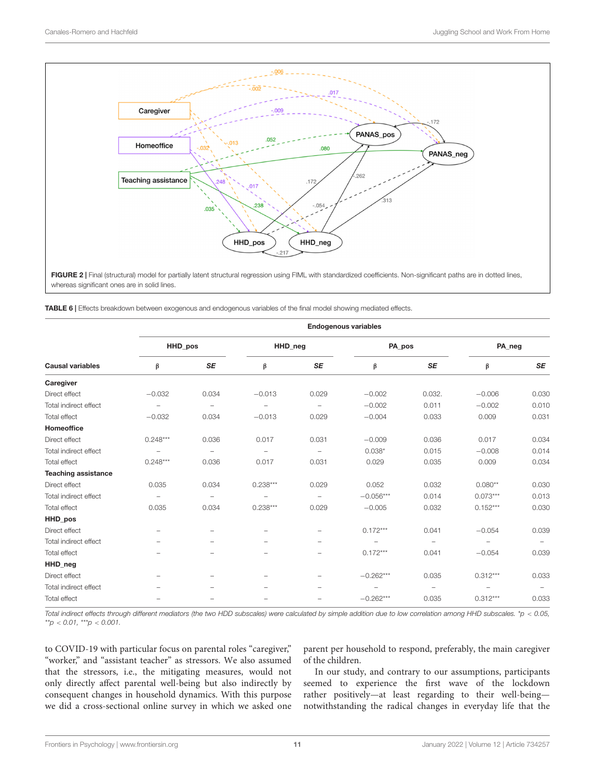

<span id="page-10-0"></span>FIGURE 2 | Final (structural) model for partially latent structural regression using FIML with standardized coefficients. Non-significant paths are in dotted lines, whereas significant ones are in solid lines.

<span id="page-10-1"></span>TABLE 6 | Effects breakdown between exogenous and endogenous variables of the final model showing mediated effects.

|                            | <b>Endogenous variables</b> |                          |                          |                          |             |                          |                          |                          |  |  |
|----------------------------|-----------------------------|--------------------------|--------------------------|--------------------------|-------------|--------------------------|--------------------------|--------------------------|--|--|
|                            |                             | HHD pos                  |                          | HHD_neg                  | PA_pos      |                          | PA neg                   |                          |  |  |
| <b>Causal variables</b>    | β                           | <b>SE</b>                | β                        | SE                       | β           | <b>SE</b>                | β                        | <b>SE</b>                |  |  |
| Caregiver                  |                             |                          |                          |                          |             |                          |                          |                          |  |  |
| Direct effect              | $-0.032$                    | 0.034                    | $-0.013$                 | 0.029                    | $-0.002$    | 0.032.                   | $-0.006$                 | 0.030                    |  |  |
| Total indirect effect      | $\overline{\phantom{a}}$    | $\overline{\phantom{a}}$ | $\overline{\phantom{0}}$ | $\overline{\phantom{a}}$ | $-0.002$    | 0.011                    | $-0.002$                 | 0.010                    |  |  |
| Total effect               | $-0.032$                    | 0.034                    | $-0.013$                 | 0.029                    | $-0.004$    | 0.033                    | 0.009                    | 0.031                    |  |  |
| <b>Homeoffice</b>          |                             |                          |                          |                          |             |                          |                          |                          |  |  |
| Direct effect              | $0.248***$                  | 0.036                    | 0.017                    | 0.031                    | $-0.009$    | 0.036                    | 0.017                    | 0.034                    |  |  |
| Total indirect effect      |                             | $\overline{\phantom{a}}$ | $\overline{\phantom{a}}$ | $\overline{\phantom{a}}$ | $0.038*$    | 0.015                    | $-0.008$                 | 0.014                    |  |  |
| Total effect               | $0.248***$                  | 0.036                    | 0.017                    | 0.031                    | 0.029       | 0.035                    | 0.009                    | 0.034                    |  |  |
| <b>Teaching assistance</b> |                             |                          |                          |                          |             |                          |                          |                          |  |  |
| Direct effect              | 0.035                       | 0.034                    | $0.238***$               | 0.029                    | 0.052       | 0.032                    | $0.080**$                | 0.030                    |  |  |
| Total indirect effect      | $\overline{\phantom{a}}$    | $\overline{\phantom{m}}$ |                          | $\overline{\phantom{a}}$ | $-0.056***$ | 0.014                    | $0.073***$               | 0.013                    |  |  |
| Total effect               | 0.035                       | 0.034                    | $0.238***$               | 0.029                    | $-0.005$    | 0.032                    | $0.152***$               | 0.030                    |  |  |
| HHD_pos                    |                             |                          |                          |                          |             |                          |                          |                          |  |  |
| Direct effect              | $\overline{\phantom{a}}$    | $\qquad \qquad -$        | $\overline{\phantom{0}}$ | $\overline{\phantom{0}}$ | $0.172***$  | 0.041                    | $-0.054$                 | 0.039                    |  |  |
| Total indirect effect      | -                           | $\overline{\phantom{m}}$ | -                        | $\overline{\phantom{0}}$ |             | $\overline{\phantom{0}}$ | $\overline{\phantom{0}}$ | $\overline{\phantom{m}}$ |  |  |
| <b>Total effect</b>        |                             |                          | $\overline{\phantom{0}}$ | $\overline{\phantom{0}}$ | $0.172***$  | 0.041                    | $-0.054$                 | 0.039                    |  |  |
| HHD_neg                    |                             |                          |                          |                          |             |                          |                          |                          |  |  |
| Direct effect              |                             | $\qquad \qquad -$        | $\overline{\phantom{0}}$ | $\overline{\phantom{0}}$ | $-0.262***$ | 0.035                    | $0.312***$               | 0.033                    |  |  |
| Total indirect effect      |                             |                          |                          |                          |             | $\overline{\phantom{0}}$ |                          | $\overline{\phantom{0}}$ |  |  |
| <b>Total effect</b>        |                             | $\overline{\phantom{a}}$ | $\overline{\phantom{0}}$ | $\overline{\phantom{0}}$ | $-0.262***$ | 0.035                    | $0.312***$               | 0.033                    |  |  |

Total indirect effects through different mediators (the two HDD subscales) were calculated by simple addition due to low correlation among HHD subscales. \*p < 0.05,  $*^{*}p < 0.01, **p < 0.001.$ 

to COVID-19 with particular focus on parental roles "caregiver," "worker," and "assistant teacher" as stressors. We also assumed that the stressors, i.e., the mitigating measures, would not only directly affect parental well-being but also indirectly by consequent changes in household dynamics. With this purpose we did a cross-sectional online survey in which we asked one

parent per household to respond, preferably, the main caregiver of the children.

In our study, and contrary to our assumptions, participants seemed to experience the first wave of the lockdown rather positively—at least regarding to their well-being notwithstanding the radical changes in everyday life that the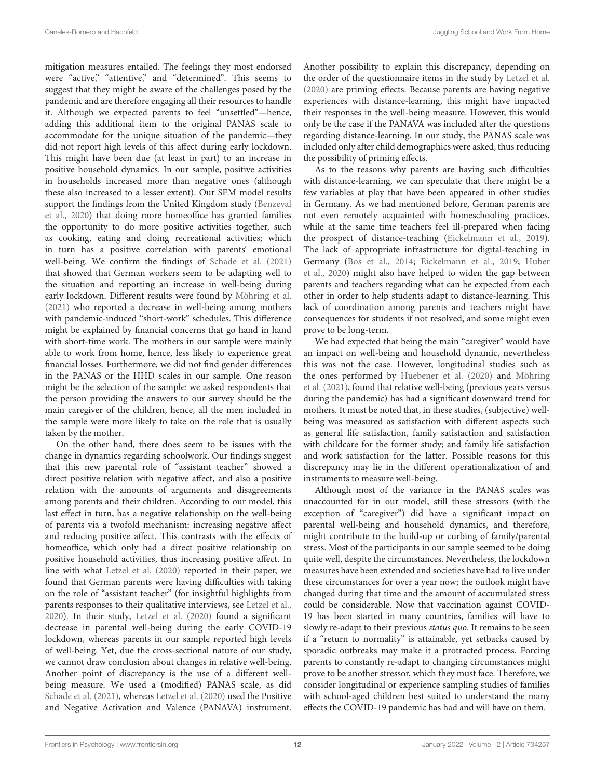mitigation measures entailed. The feelings they most endorsed were "active," "attentive," and "determined". This seems to suggest that they might be aware of the challenges posed by the pandemic and are therefore engaging all their resources to handle it. Although we expected parents to feel "unsettled"—hence, adding this additional item to the original PANAS scale to accommodate for the unique situation of the pandemic—they did not report high levels of this affect during early lockdown. This might have been due (at least in part) to an increase in positive household dynamics. In our sample, positive activities in households increased more than negative ones (although these also increased to a lesser extent). Our SEM model results support the findings from the United Kingdom study [\(Benzeval](#page-13-12) [et al.,](#page-13-12) [2020\)](#page-13-12) that doing more homeoffice has granted families the opportunity to do more positive activities together, such as cooking, eating and doing recreational activities; which in turn has a positive correlation with parents' emotional well-being. We confirm the findings of [Schade et al.](#page-14-22) [\(2021\)](#page-14-22) that showed that German workers seem to be adapting well to the situation and reporting an increase in well-being during early lockdown. Different results were found by [Möhring et al.](#page-14-23) [\(2021\)](#page-14-23) who reported a decrease in well-being among mothers with pandemic-induced "short-work" schedules. This difference might be explained by financial concerns that go hand in hand with short-time work. The mothers in our sample were mainly able to work from home, hence, less likely to experience great financial losses. Furthermore, we did not find gender differences in the PANAS or the HHD scales in our sample. One reason might be the selection of the sample: we asked respondents that the person providing the answers to our survey should be the main caregiver of the children, hence, all the men included in the sample were more likely to take on the role that is usually taken by the mother.

On the other hand, there does seem to be issues with the change in dynamics regarding schoolwork. Our findings suggest that this new parental role of "assistant teacher" showed a direct positive relation with negative affect, and also a positive relation with the amounts of arguments and disagreements among parents and their children. According to our model, this last effect in turn, has a negative relationship on the well-being of parents via a twofold mechanism: increasing negative affect and reducing positive affect. This contrasts with the effects of homeoffice, which only had a direct positive relationship on positive household activities, thus increasing positive affect. In line with what [Letzel et al.](#page-14-14) [\(2020\)](#page-14-14) reported in their paper, we found that German parents were having difficulties with taking on the role of "assistant teacher" (for insightful highlights from parents responses to their qualitative interviews, see [Letzel et al.,](#page-14-14) [2020\)](#page-14-14). In their study, [Letzel et al.](#page-14-14) [\(2020\)](#page-14-14) found a significant decrease in parental well-being during the early COVID-19 lockdown, whereas parents in our sample reported high levels of well-being. Yet, due the cross-sectional nature of our study, we cannot draw conclusion about changes in relative well-being. Another point of discrepancy is the use of a different wellbeing measure. We used a (modified) PANAS scale, as did [Schade et al.](#page-14-22) [\(2021\)](#page-14-22), whereas [Letzel et al.](#page-14-14) [\(2020\)](#page-14-14) used the Positive and Negative Activation and Valence (PANAVA) instrument.

Another possibility to explain this discrepancy, depending on the order of the questionnaire items in the study by [Letzel et al.](#page-14-14) [\(2020\)](#page-14-14) are priming effects. Because parents are having negative experiences with distance-learning, this might have impacted their responses in the well-being measure. However, this would only be the case if the PANAVA was included after the questions regarding distance-learning. In our study, the PANAS scale was included only after child demographics were asked, thus reducing the possibility of priming effects.

As to the reasons why parents are having such difficulties with distance-learning, we can speculate that there might be a few variables at play that have been appeared in other studies in Germany. As we had mentioned before, German parents are not even remotely acquainted with homeschooling practices, while at the same time teachers feel ill-prepared when facing the prospect of distance-teaching [\(Eickelmann et al.,](#page-13-15) [2019\)](#page-13-15). The lack of appropriate infrastructure for digital-teaching in Germany [\(Bos et al.,](#page-13-14) [2014;](#page-13-14) [Eickelmann et al.,](#page-13-15) [2019;](#page-13-15) [Huber](#page-14-16) [et al.,](#page-14-16) [2020\)](#page-14-16) might also have helped to widen the gap between parents and teachers regarding what can be expected from each other in order to help students adapt to distance-learning. This lack of coordination among parents and teachers might have consequences for students if not resolved, and some might even prove to be long-term.

We had expected that being the main "caregiver" would have an impact on well-being and household dynamic, nevertheless this was not the case. However, longitudinal studies such as the ones performed by [Huebener et al.](#page-14-12) [\(2020\)](#page-14-12) and [Möhring](#page-14-23) [et al.](#page-14-23) [\(2021\)](#page-14-23), found that relative well-being (previous years versus during the pandemic) has had a significant downward trend for mothers. It must be noted that, in these studies, (subjective) wellbeing was measured as satisfaction with different aspects such as general life satisfaction, family satisfaction and satisfaction with childcare for the former study; and family life satisfaction and work satisfaction for the latter. Possible reasons for this discrepancy may lie in the different operationalization of and instruments to measure well-being.

Although most of the variance in the PANAS scales was unaccounted for in our model, still these stressors (with the exception of "caregiver") did have a significant impact on parental well-being and household dynamics, and therefore, might contribute to the build-up or curbing of family/parental stress. Most of the participants in our sample seemed to be doing quite well, despite the circumstances. Nevertheless, the lockdown measures have been extended and societies have had to live under these circumstances for over a year now; the outlook might have changed during that time and the amount of accumulated stress could be considerable. Now that vaccination against COVID-19 has been started in many countries, families will have to slowly re-adapt to their previous status quo. It remains to be seen if a "return to normality" is attainable, yet setbacks caused by sporadic outbreaks may make it a protracted process. Forcing parents to constantly re-adapt to changing circumstances might prove to be another stressor, which they must face. Therefore, we consider longitudinal or experience sampling studies of families with school-aged children best suited to understand the many effects the COVID-19 pandemic has had and will have on them.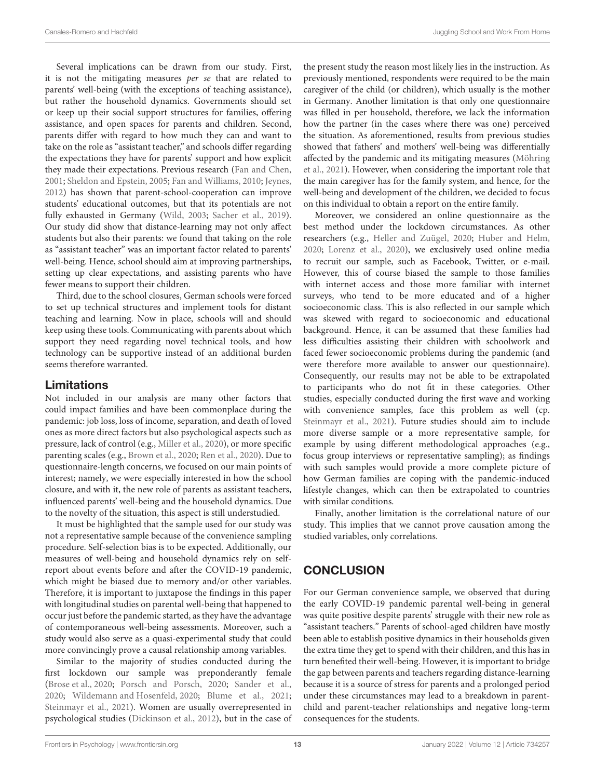Several implications can be drawn from our study. First, it is not the mitigating measures per se that are related to parents' well-being (with the exceptions of teaching assistance), but rather the household dynamics. Governments should set or keep up their social support structures for families, offering assistance, and open spaces for parents and children. Second, parents differ with regard to how much they can and want to take on the role as "assistant teacher," and schools differ regarding the expectations they have for parents' support and how explicit they made their expectations. Previous research [\(Fan and Chen,](#page-13-20) [2001;](#page-13-20) [Sheldon and Epstein,](#page-14-29) [2005;](#page-14-29) [Fan and Williams,](#page-13-21) [2010;](#page-13-21) [Jeynes,](#page-14-30) [2012\)](#page-14-30) has shown that parent-school-cooperation can improve students' educational outcomes, but that its potentials are not fully exhausted in Germany [\(Wild,](#page-15-2) [2003;](#page-15-2) [Sacher et al.,](#page-14-31) [2019\)](#page-14-31). Our study did show that distance-learning may not only affect students but also their parents: we found that taking on the role as "assistant teacher" was an important factor related to parents' well-being. Hence, school should aim at improving partnerships, setting up clear expectations, and assisting parents who have fewer means to support their children.

Third, due to the school closures, German schools were forced to set up technical structures and implement tools for distant teaching and learning. Now in place, schools will and should keep using these tools. Communicating with parents about which support they need regarding novel technical tools, and how technology can be supportive instead of an additional burden seems therefore warranted.

### Limitations

Not included in our analysis are many other factors that could impact families and have been commonplace during the pandemic: job loss, loss of income, separation, and death of loved ones as more direct factors but also psychological aspects such as pressure, lack of control (e.g., [Miller et al.,](#page-14-32) [2020\)](#page-14-32), or more specific parenting scales (e.g., [Brown et al.,](#page-13-7) [2020;](#page-13-7) [Ren et al.,](#page-14-33) [2020\)](#page-14-33). Due to questionnaire-length concerns, we focused on our main points of interest; namely, we were especially interested in how the school closure, and with it, the new role of parents as assistant teachers, influenced parents' well-being and the household dynamics. Due to the novelty of the situation, this aspect is still understudied.

It must be highlighted that the sample used for our study was not a representative sample because of the convenience sampling procedure. Self-selection bias is to be expected. Additionally, our measures of well-being and household dynamics rely on selfreport about events before and after the COVID-19 pandemic, which might be biased due to memory and/or other variables. Therefore, it is important to juxtapose the findings in this paper with longitudinal studies on parental well-being that happened to occur just before the pandemic started, as they have the advantage of contemporaneous well-being assessments. Moreover, such a study would also serve as a quasi-experimental study that could more convincingly prove a causal relationship among variables.

Similar to the majority of studies conducted during the first lockdown our sample was preponderantly female [\(Brose et al.,](#page-13-22) [2020;](#page-13-22) [Porsch and Porsch,](#page-14-17) [2020;](#page-14-17) [Sander et al.,](#page-14-34) [2020;](#page-14-34) [Wildemann and Hosenfeld,](#page-15-1) [2020;](#page-15-1) [Blume et al.,](#page-13-23) [2021;](#page-13-23) [Steinmayr et al.,](#page-14-18) [2021\)](#page-14-18). Women are usually overrepresented in psychological studies [\(Dickinson et al.,](#page-13-24) [2012\)](#page-13-24), but in the case of the present study the reason most likely lies in the instruction. As previously mentioned, respondents were required to be the main caregiver of the child (or children), which usually is the mother in Germany. Another limitation is that only one questionnaire was filled in per household, therefore, we lack the information how the partner (in the cases where there was one) perceived the situation. As aforementioned, results from previous studies showed that fathers' and mothers' well-being was differentially affected by the pandemic and its mitigating measures [\(Möhring](#page-14-23) [et al.,](#page-14-23) [2021\)](#page-14-23). However, when considering the important role that the main caregiver has for the family system, and hence, for the well-being and development of the children, we decided to focus on this individual to obtain a report on the entire family.

Moreover, we considered an online questionnaire as the best method under the lockdown circumstances. As other researchers (e.g., [Heller and Zuügel,](#page-14-35) [2020;](#page-14-35) [Huber and Helm,](#page-14-36) [2020;](#page-14-36) [Lorenz et al.,](#page-14-37) [2020\)](#page-14-37), we exclusively used online media to recruit our sample, such as Facebook, Twitter, or e-mail. However, this of course biased the sample to those families with internet access and those more familiar with internet surveys, who tend to be more educated and of a higher socioeconomic class. This is also reflected in our sample which was skewed with regard to socioeconomic and educational background. Hence, it can be assumed that these families had less difficulties assisting their children with schoolwork and faced fewer socioeconomic problems during the pandemic (and were therefore more available to answer our questionnaire). Consequently, our results may not be able to be extrapolated to participants who do not fit in these categories. Other studies, especially conducted during the first wave and working with convenience samples, face this problem as well (cp. [Steinmayr et al.,](#page-14-18) [2021\)](#page-14-18). Future studies should aim to include more diverse sample or a more representative sample, for example by using different methodological approaches (e.g., focus group interviews or representative sampling); as findings with such samples would provide a more complete picture of how German families are coping with the pandemic-induced lifestyle changes, which can then be extrapolated to countries with similar conditions.

Finally, another limitation is the correlational nature of our study. This implies that we cannot prove causation among the studied variables, only correlations.

# **CONCLUSION**

For our German convenience sample, we observed that during the early COVID-19 pandemic parental well-being in general was quite positive despite parents' struggle with their new role as "assistant teachers." Parents of school-aged children have mostly been able to establish positive dynamics in their households given the extra time they get to spend with their children, and this has in turn benefited their well-being. However, it is important to bridge the gap between parents and teachers regarding distance-learning because it is a source of stress for parents and a prolonged period under these circumstances may lead to a breakdown in parentchild and parent-teacher relationships and negative long-term consequences for the students.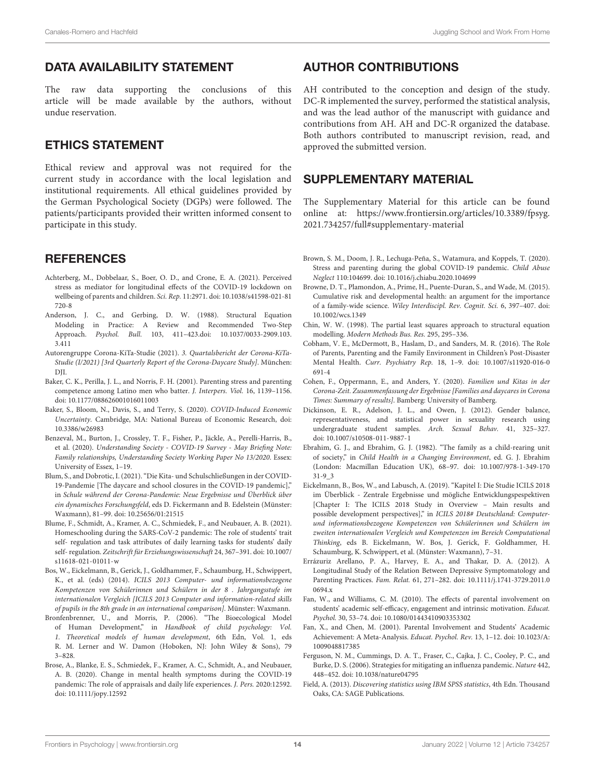# DATA AVAILABILITY STATEMENT

The raw data supporting the conclusions of this article will be made available by the authors, without undue reservation.

# ETHICS STATEMENT

Ethical review and approval was not required for the current study in accordance with the local legislation and institutional requirements. All ethical guidelines provided by the German Psychological Society (DGPs) were followed. The patients/participants provided their written informed consent to participate in this study.

# **REFERENCES**

- <span id="page-13-10"></span>Achterberg, M., Dobbelaar, S., Boer, O. D., and Crone, E. A. (2021). Perceived stress as mediator for longitudinal effects of the COVID-19 lockdown on wellbeing of parents and children. Sci. Rep. 11:2971. [doi: 10.1038/s41598-021-81](https://doi.org/10.1038/s41598-021-81720-8) [720-8](https://doi.org/10.1038/s41598-021-81720-8)
- <span id="page-13-19"></span>Anderson, J. C., and Gerbing, D. W. (1988). Structural Equation Modeling in Practice: A Review and Recommended Two-Step Approach. Psychol. Bull. 103, 411–423[.doi: 10.1037/0033-2909.103.](https://doi.org/ 10.1037/0033-2909.103.3.411) [3.411](https://doi.org/ 10.1037/0033-2909.103.3.411)
- <span id="page-13-11"></span>Autorengruppe Corona-KiTa-Studie (2021). 3. Quartalsbericht der Corona-KiTa-Studie (I/2021) [3rd Quarterly Report of the Corona-Daycare Study]. München: DJI.
- <span id="page-13-6"></span>Baker, C. K., Perilla, J. L., and Norris, F. H. (2001). Parenting stress and parenting competence among Latino men who batter. J. Interpers. Viol. 16, 1139–1156. [doi: 10.1177/088626001016011003](https://doi.org/10.1177/088626001016011003)
- <span id="page-13-1"></span>Baker, S., Bloom, N., Davis, S., and Terry, S. (2020). COVID-Induced Economic Uncertainty. Cambridge, MA: National Bureau of Economic Research, [doi:](https://doi.org/10.3386/w26983) [10.3386/w26983](https://doi.org/10.3386/w26983)
- <span id="page-13-12"></span>Benzeval, M., Burton, J., Crossley, T. F., Fisher, P., Jäckle, A., Perelli-Harris, B., et al. (2020). Understanding Society - COVID-19 Survey - May Briefing Note: Family relationships, Understanding Society Working Paper No 13/2020. Essex: University of Essex, 1–19.
- <span id="page-13-5"></span>Blum, S., and Dobrotic, I. (2021). "Die Kita- und Schulschließungen in der COVID-19-Pandemie [The daycare and school closures in the COVID-19 pandemic]," in Schule während der Corona-Pandemie: Neue Ergebnisse und Überblick über ein dynamisches Forschungsfeld, eds D. Fickermann and B. Edelstein (Münster: Waxmann), 81–99. [doi: 10.25656/01:21515](https://doi.org/10.25656/01:21515)
- <span id="page-13-23"></span>Blume, F., Schmidt, A., Kramer, A. C., Schmiedek, F., and Neubauer, A. B. (2021). Homeschooling during the SARS-CoV-2 pandemic: The role of students' trait self- regulation and task attributes of daily learning tasks for students' daily self- regulation. Zeitschrift für Erziehungswissenschaft 24, 367–391. [doi: 10.1007/](https://doi.org/10.1007/s11618-021-01011-w) [s11618-021-01011-w](https://doi.org/10.1007/s11618-021-01011-w)
- <span id="page-13-14"></span>Bos, W., Eickelmann, B., Gerick, J., Goldhammer, F., Schaumburg, H., Schwippert, K., et al. (eds) (2014). ICILS 2013 Computer- und informationsbezogene Kompetenzen von Schülerinnen und Schülern in der 8 . Jahrgangsstufe im internationalen Vergleich [ICILS 2013 Computer and information-related skills of pupils in the 8th grade in an international comparison]. Münster: Waxmann.
- <span id="page-13-3"></span>Bronfenbrenner, U., and Morris, P. (2006). "The Bioecological Model of Human Development," in Handbook of child psychology: Vol. 1. Theoretical models of human development, 6th Edn, Vol. 1, eds R. M. Lerner and W. Damon (Hoboken, NJ: John Wiley & Sons), 79 3–828.
- <span id="page-13-22"></span>Brose, A., Blanke, E. S., Schmiedek, F., Kramer, A. C., Schmidt, A., and Neubauer, A. B. (2020). Change in mental health symptoms during the COVID-19 pandemic: The role of appraisals and daily life experiences. J. Pers. 2020:12592. [doi: 10.1111/jopy.12592](https://doi.org/10.1111/jopy.12592)

# AUTHOR CONTRIBUTIONS

AH contributed to the conception and design of the study. DC-R implemented the survey, performed the statistical analysis, and was the lead author of the manuscript with guidance and contributions from AH. AH and DC-R organized the database. Both authors contributed to manuscript revision, read, and approved the submitted version.

# <span id="page-13-16"></span>SUPPLEMENTARY MATERIAL

The Supplementary Material for this article can be found online at: [https://www.frontiersin.org/articles/10.3389/fpsyg.](https://www.frontiersin.org/articles/10.3389/fpsyg.2021.734257/full#supplementary-material) [2021.734257/full#supplementary-material](https://www.frontiersin.org/articles/10.3389/fpsyg.2021.734257/full#supplementary-material)

- <span id="page-13-7"></span>Brown, S. M., Doom, J. R., Lechuga-Peña, S., Watamura, and Koppels, T. (2020). Stress and parenting during the global COVID-19 pandemic. Child Abuse Neglect 110:104699. [doi: 10.1016/j.chiabu.2020.104699](https://doi.org/10.1016/j.chiabu.2020.104699)
- <span id="page-13-4"></span>Browne, D. T., Plamondon, A., Prime, H., Puente-Duran, S., and Wade, M. (2015). Cumulative risk and developmental health: an argument for the importance of a family-wide science. Wiley Interdiscipl. Rev. Cognit. Sci. 6, 397–407. [doi:](https://doi.org/10.1002/wcs.1349) [10.1002/wcs.1349](https://doi.org/10.1002/wcs.1349)
- <span id="page-13-18"></span>Chin, W. W. (1998). The partial least squares approach to structural equation modelling. Modern Methods Bus. Res. 295, 295–336.
- <span id="page-13-9"></span>Cobham, V. E., McDermott, B., Haslam, D., and Sanders, M. R. (2016). The Role of Parents, Parenting and the Family Environment in Children's Post-Disaster Mental Health. Curr. Psychiatry Rep. 18, 1–9. [doi: 10.1007/s11920-016-0](https://doi.org/10.1007/s11920-016-0691-4) [691-4](https://doi.org/10.1007/s11920-016-0691-4)
- <span id="page-13-13"></span>Cohen, F., Oppermann, E., and Anders, Y. (2020). Familien und Kitas in der Corona-Zeit. Zusammenfassung der Ergebnisse [Families and daycares in Corona Times: Summary of results]. Bamberg: University of Bamberg.
- <span id="page-13-24"></span>Dickinson, E. R., Adelson, J. L., and Owen, J. (2012). Gender balance, representativeness, and statistical power in sexuality research using undergraduate student samples. Arch. Sexual Behav. 41, 325–327. [doi: 10.1007/s10508-011-9887-1](https://doi.org/10.1007/s10508-011-9887-1)
- <span id="page-13-2"></span>Ebrahim, G. J., and Ebrahim, G. J. (1982). "The family as a child-rearing unit of society," in Child Health in a Changing Environment, ed. G. J. Ebrahim (London: Macmillan Education UK), 68–97. [doi: 10.1007/978-1-349-170](https://doi.org/10.1007/978-1-349-17031-9_3) [31-9\\_3](https://doi.org/10.1007/978-1-349-17031-9_3)
- <span id="page-13-15"></span>Eickelmann, B., Bos, W., and Labusch, A. (2019). "Kapitel I: Die Studie ICILS 2018 im Überblick - Zentrale Ergebnisse und mögliche Entwicklungspespektiven [Chapter I: The ICILS 2018 Study in Overview – Main results and possible development perspectives]," in ICILS 2018# Deutschland: Computerund informationsbezogene Kompetenzen von Schülerinnen und Schülern im zweiten internationalen Vergleich und Kompetenzen im Bereich Computational Thinking, eds B. Eickelmann, W. Bos, J. Gerick, F. Goldhammer, H. Schaumburg, K. Schwippert, et al. (Münster: Waxmann), 7–31.
- <span id="page-13-8"></span>Errázuriz Arellano, P. A., Harvey, E. A., and Thakar, D. A. (2012). A Longitudinal Study of the Relation Between Depressive Symptomatology and Parenting Practices. Fam. Relat. 61, 271–282. [doi: 10.1111/j.1741-3729.2011.0](https://doi.org/10.1111/j.1741-3729.2011.00694.x) [0694.x](https://doi.org/10.1111/j.1741-3729.2011.00694.x)
- <span id="page-13-21"></span>Fan, W., and Williams, C. M. (2010). The effects of parental involvement on students' academic self-efficacy, engagement and intrinsic motivation. Educat. Psychol. 30, 53–74. [doi: 10.1080/01443410903353302](https://doi.org/10.1080/01443410903353302)
- <span id="page-13-20"></span>Fan, X., and Chen, M. (2001). Parental Involvement and Students' Academic Achievement: A Meta-Analysis. Educat. Psychol. Rev. 13, 1–12. [doi: 10.1023/A:](https://doi.org/10.1023/A:1009048817385) [1009048817385](https://doi.org/10.1023/A:1009048817385)
- <span id="page-13-0"></span>Ferguson, N. M., Cummings, D. A. T., Fraser, C., Cajka, J. C., Cooley, P. C., and Burke, D. S. (2006). Strategies for mitigating an influenza pandemic. Nature 442, 448–452. [doi: 10.1038/nature04795](https://doi.org/10.1038/nature04795)
- <span id="page-13-17"></span>Field, A. (2013). Discovering statistics using IBM SPSS statistics, 4th Edn. Thousand Oaks, CA: SAGE Publications.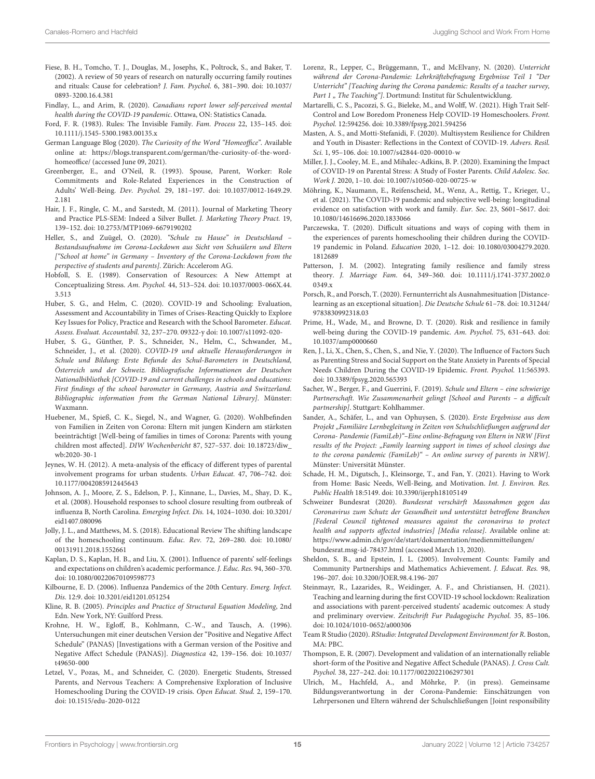- <span id="page-14-7"></span>Fiese, B. H., Tomcho, T. J., Douglas, M., Josephs, K., Poltrock, S., and Baker, T. (2002). A review of 50 years of research on naturally occurring family routines and rituals: Cause for celebration? J. Fam. Psychol. 6, 381–390. [doi: 10.1037/](https://doi.org/10.1037/0893-3200.16.4.381) [0893-3200.16.4.381](https://doi.org/10.1037/0893-3200.16.4.381)
- <span id="page-14-2"></span>Findlay, L., and Arim, R. (2020). Canadians report lower self-perceived mental health during the COVID-19 pandemic. Ottawa, ON: Statistics Canada.
- <span id="page-14-6"></span>Ford, F. R. (1983). Rules: The Invisible Family. Fam. Process 22, 135–145. [doi:](https://doi.org/10.1111/j.1545-5300.1983.00135.x) [10.1111/j.1545-5300.1983.00135.x](https://doi.org/10.1111/j.1545-5300.1983.00135.x)
- <span id="page-14-4"></span>German Language Blog (2020). The Curiosity of the Word "Homeoffice". Available online at: [https://blogs.transparent.com/german/the-curiosity-of-the-word](https://blogs.transparent.com/german/the-curiosity-of-the-word-homeoffice/)[homeoffice/](https://blogs.transparent.com/german/the-curiosity-of-the-word-homeoffice/) (accessed June 09, 2021).
- <span id="page-14-13"></span>Greenberger, E., and O'Neil, R. (1993). Spouse, Parent, Worker: Role Commitments and Role-Related Experiences in the Construction of Adults' Well-Being. Dev. Psychol. 29, 181–197. [doi: 10.1037/0012-1649.29.](https://doi.org/10.1037/0012-1649.29.2.181) [2.181](https://doi.org/10.1037/0012-1649.29.2.181)
- <span id="page-14-27"></span>Hair, J. F., Ringle, C. M., and Sarstedt, M. (2011). Journal of Marketing Theory and Practice PLS-SEM: Indeed a Silver Bullet. J. Marketing Theory Pract. 19, 139–152. [doi: 10.2753/MTP1069-6679190202](https://doi.org/10.2753/MTP1069-6679190202)
- <span id="page-14-35"></span>Heller, S., and Zuügel, O. (2020). "Schule zu Hause" in Deutschland – Bestandsaufnahme im Corona-Lockdown aus Sicht von Schuülern und Eltern ["School at home" in Germany – Inventory of the Corona-Lockdown from the perspective of students and parents]. Zürich: Accelerom AG.
- <span id="page-14-10"></span>Hobfoll, S. E. (1989). Conservation of Resources: A New Attempt at Conceptualizing Stress. Am. Psychol. 44, 513–524. [doi: 10.1037/0003-066X.44.](https://doi.org/10.1037/0003-066X.44.3.513) [3.513](https://doi.org/10.1037/0003-066X.44.3.513)
- <span id="page-14-36"></span>Huber, S. G., and Helm, C. (2020). COVID-19 and Schooling: Evaluation, Assessment and Accountability in Times of Crises-Reacting Quickly to Explore Key Issues for Policy, Practice and Research with the School Barometer. Educat. Assess. Evaluat. Accountabil. 32, 237–270. 09322-y [doi: 10.1007/s11092-020-](https://doi.org/10.1007/s11092-020-)
- <span id="page-14-16"></span>Huber, S. G., Günther, P. S., Schneider, N., Helm, C., Schwander, M., Schneider, J., et al. (2020). COVID-19 und aktuelle Herausforderungen in Schule und Bildung: Erste Befunde des Schul-Barometers in Deutschland, Österreich und der Schweiz. Bibliografische Informationen der Deutschen Nationalbibliothek [COVID-19 and current challenges in schools and educations: First findings of the school barometer in Germany, Austria and Switzerland. Bibliographic information from the German National Library]. Münster: Waxmann.
- <span id="page-14-12"></span>Huebener, M., Spieß, C. K., Siegel, N., and Wagner, G. (2020). Wohlbefinden von Familien in Zeiten von Corona: Eltern mit jungen Kindern am stärksten beeinträchtigt [Well-being of families in times of Corona: Parents with young children most affected]. DIW Wochenbericht 87, 527–537. [doi: 10.18723/diw\\_](https://doi.org/10.18723/diw_wb:2020-30-1) [wb:2020-30-1](https://doi.org/10.18723/diw_wb:2020-30-1)
- <span id="page-14-30"></span>Jeynes, W. H. (2012). A meta-analysis of the efficacy of different types of parental involvement programs for urban students. Urban Educat. 47, 706–742. [doi:](https://doi.org/10.1177/0042085912445643) [10.1177/0042085912445643](https://doi.org/10.1177/0042085912445643)
- <span id="page-14-1"></span>Johnson, A. J., Moore, Z. S., Edelson, P. J., Kinnane, L., Davies, M., Shay, D. K., et al. (2008). Household responses to school closure resulting from outbreak of influenza B, North Carolina. Emerging Infect. Dis. 14, 1024–1030. [doi: 10.3201/](https://doi.org/10.3201/eid1407.080096) [eid1407.080096](https://doi.org/10.3201/eid1407.080096)
- <span id="page-14-15"></span>Jolly, J. L., and Matthews, M. S. (2018). Educational Review The shifting landscape of the homeschooling continuum. Educ. Rev. 72, 269–280. [doi: 10.1080/](https://doi.org/10.1080/00131911.2018.1552661) [00131911.2018.1552661](https://doi.org/10.1080/00131911.2018.1552661)
- <span id="page-14-9"></span>Kaplan, D. S., Kaplan, H. B., and Liu, X. (2001). Influence of parents' self-feelings and expectations on children's academic performance. J. Educ. Res. 94, 360–370. [doi: 10.1080/00220670109598773](https://doi.org/10.1080/00220670109598773)
- <span id="page-14-0"></span>Kilbourne, E. D. (2006). Influenza Pandemics of the 20th Century. Emerg. Infect. Dis. 12:9. [doi: 10.3201/eid1201.051254](https://doi.org/10.3201/eid1201.051254)
- <span id="page-14-26"></span>Kline, R. B. (2005). Principles and Practice of Structural Equation Modeling, 2nd Edn. New York, NY: Guilford Press.
- <span id="page-14-24"></span>Krohne, H. W., Egloff, B., Kohlmann, C.-W., and Tausch, A. (1996). Untersuchungen mit einer deutschen Version der "Positive and Negative Affect Schedule" (PANAS) [Investigations with a German version of the Positive and Negative Affect Schedule (PANAS)]. Diagnostica 42, 139–156. [doi: 10.1037/](https://doi.org/10.1037/t49650-000) [t49650-000](https://doi.org/10.1037/t49650-000)
- <span id="page-14-14"></span>Letzel, V., Pozas, M., and Schneider, C. (2020). Energetic Students, Stressed Parents, and Nervous Teachers: A Comprehensive Exploration of Inclusive Homeschooling During the COVID-19 crisis. Open Educat. Stud. 2, 159–170. [doi: 10.1515/edu-2020-0122](https://doi.org/10.1515/edu-2020-0122)
- <span id="page-14-37"></span>Lorenz, R., Lepper, C., Brüggemann, T., and McElvany, N. (2020). Unterricht während der Corona-Pandemie: Lehrkräftebefragung Ergebnisse Teil 1 "Der Unterricht" [Teaching during the Corona pandemic: Results of a teacher survey, Part 1 " The Teaching"]. Dortmund: Institut für Schulentwicklung.
- <span id="page-14-20"></span>Martarelli, C. S., Pacozzi, S. G., Bieleke, M., and Wolff, W. (2021). High Trait Self-Control and Low Boredom Proneness Help COVID-19 Homeschoolers. Front. Psychol. 12:594256. [doi: 10.3389/fpsyg.2021.594256](https://doi.org/10.3389/fpsyg.2021.594256)
- <span id="page-14-11"></span>Masten, A. S., and Motti-Stefanidi, F. (2020). Multisystem Resilience for Children and Youth in Disaster: Reflections in the Context of COVID-19. Advers. Resil. Sci. 1, 95–106. [doi: 10.1007/s42844-020-00010-w](https://doi.org/10.1007/s42844-020-00010-w)
- <span id="page-14-32"></span>Miller, J. J., Cooley, M. E., and Mihalec-Adkins, B. P. (2020). Examining the Impact of COVID-19 on Parental Stress: A Study of Foster Parents. Child Adolesc. Soc. Work J. 2020, 1–10. [doi: 10.1007/s10560-020-00725-w](https://doi.org/10.1007/s10560-020-00725-w)
- <span id="page-14-23"></span>Möhring, K., Naumann, E., Reifenscheid, M., Wenz, A., Rettig, T., Krieger, U., et al. (2021). The COVID-19 pandemic and subjective well-being: longitudinal evidence on satisfaction with work and family. Eur. Soc. 23, S601–S617. [doi:](https://doi.org/10.1080/14616696.2020.1833066) [10.1080/14616696.2020.1833066](https://doi.org/10.1080/14616696.2020.1833066)
- <span id="page-14-21"></span>Parczewska, T. (2020). Difficult situations and ways of coping with them in the experiences of parents homeschooling their children during the COVID-19 pandemic in Poland. Education 2020, 1–12. [doi: 10.1080/03004279.2020.](https://doi.org/10.1080/03004279.2020.1812689) [1812689](https://doi.org/10.1080/03004279.2020.1812689)
- <span id="page-14-5"></span>Patterson, J. M. (2002). Integrating family resilience and family stress theory. J. Marriage Fam. 64, 349–360. [doi: 10.1111/j.1741-3737.2002.0](https://doi.org/10.1111/j.1741-3737.2002.00349.x) 0349 x
- <span id="page-14-17"></span>Porsch, R., and Porsch, T. (2020). Fernunterricht als Ausnahmesituation [Distancelearning as an exceptional situation]. Die Deutsche Schule 61–78. [doi: 10.31244/](https://doi.org/10.31244/9783830992318.03) [9783830992318.03](https://doi.org/10.31244/9783830992318.03)
- <span id="page-14-3"></span>Prime, H., Wade, M., and Browne, D. T. (2020). Risk and resilience in family well-being during the COVID-19 pandemic. Am. Psychol. 75, 631–643. [doi:](https://doi.org/10.1037/amp0000660) [10.1037/amp0000660](https://doi.org/10.1037/amp0000660)
- <span id="page-14-33"></span>Ren, J., Li, X., Chen, S., Chen, S., and Nie, Y. (2020). The Influence of Factors Such as Parenting Stress and Social Support on the State Anxiety in Parents of Special Needs Children During the COVID-19 Epidemic. Front. Psychol. 11:565393. [doi: 10.3389/fpsyg.2020.565393](https://doi.org/10.3389/fpsyg.2020.565393)
- <span id="page-14-31"></span>Sacher, W., Berger, F., and Guerrini, F. (2019). Schule und Eltern – eine schwierige Partnerschaft. Wie Zusammenarbeit gelingt [School and Parents – a difficult partnership]. Stuttgart: Kohlhammer.
- <span id="page-14-34"></span>Sander, A., Schäfer, L., and van Ophuysen, S. (2020). Erste Ergebnisse aus dem Projekt "Familiäre Lernbegleitung in Zeiten von Schulschließungen aufgrund der Corona- Pandemie (FamiLeb)"–Eine online-Befragung von Eltern in NRW [First results of the Project: "Family learning support in times of school closings due to the corona pandemic (FamiLeb)" – An online survey of parents in NRW]. Münster: Universität Münster.
- <span id="page-14-22"></span>Schade, H. M., Digutsch, J., Kleinsorge, T., and Fan, Y. (2021). Having to Work from Home: Basic Needs, Well-Being, and Motivation. Int. J. Environ. Res. Public Health 18:5149. [doi: 10.3390/ijerph18105149](https://doi.org/10.3390/ijerph18105149)
- <span id="page-14-8"></span>Schweizer Bundesrat (2020). Bundesrat verschärft Massnahmen gegen das Coronavirus zum Schutz der Gesundheit und unterstützt betroffene Branchen [Federal Council tightened measures against the coronavirus to protect health and supports affected industries] [Media release]. Available online at: [https://www.admin.ch/gov/de/start/dokumentation/medienmitteilungen/](https://www.admin.ch/gov/de/start/dokumentation/medienmitteilungen/bundesrat.msg-id-78437.html) [bundesrat.msg-id-78437.html](https://www.admin.ch/gov/de/start/dokumentation/medienmitteilungen/bundesrat.msg-id-78437.html) (accessed March 13, 2020).
- <span id="page-14-29"></span>Sheldon, S. B., and Epstein, J. L. (2005). Involvement Counts: Family and Community Partnerships and Mathematics Achievement. J. Educat. Res. 98, 196–207. [doi: 10.3200/JOER.98.4.196-207](https://doi.org/10.3200/JOER.98.4.196-207)
- <span id="page-14-18"></span>Steinmayr, R., Lazarides, R., Weidinger, A. F., and Christiansen, H. (2021). Teaching and learning during the first COVID-19 school lockdown: Realization and associations with parent-perceived students' academic outcomes: A study and preliminary overview. Zeitschrift Fur Padagogische Psychol. 35, 85–106. [doi: 10.1024/1010-0652/a000306](https://doi.org/10.1024/1010-0652/a000306)
- <span id="page-14-25"></span>Team R Studio (2020). RStudio: Integrated Development Environment for R. Boston, MA: PBC.
- <span id="page-14-28"></span>Thompson, E. R. (2007). Development and validation of an internationally reliable short-form of the Positive and Negative Affect Schedule (PANAS). J. Cross Cult. Psychol. 38, 227–242. [doi: 10.1177/0022022106297301](https://doi.org/10.1177/0022022106297301)
- <span id="page-14-19"></span>Ulrich, M., Hachfeld, A., and Möhrke, P. (in press). Gemeinsame Bildungsverantwortung in der Corona-Pandemie: Einschätzungen von Lehrpersonen und Eltern während der Schulschließungen [Joint responsibility